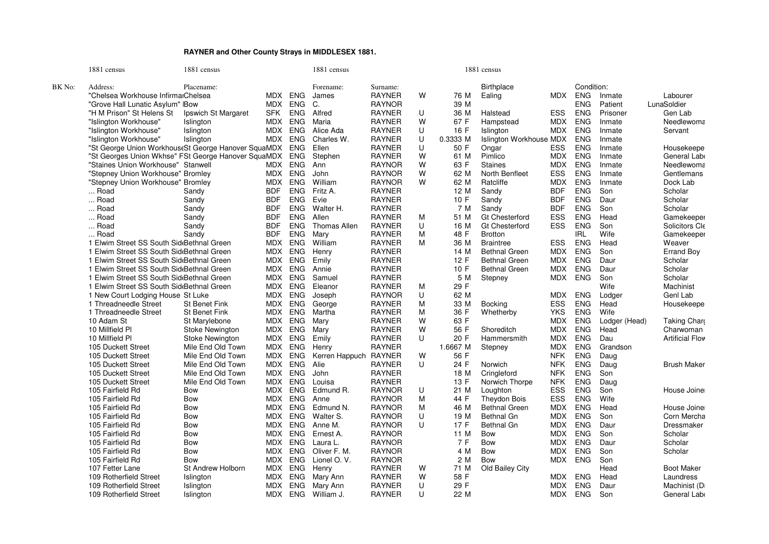## **RAYNER and Other County Strays in MIDDLESEX 1881.**

|        | 1881 census                                         | 1881 census            |            |            | 1881 census           |               |        |              | 1881 census                    |            |                          |               |                        |
|--------|-----------------------------------------------------|------------------------|------------|------------|-----------------------|---------------|--------|--------------|--------------------------------|------------|--------------------------|---------------|------------------------|
| BK No: | Address:                                            | Placename:             |            |            | Forename:             | Surname:      |        |              | <b>Birthplace</b>              |            | Condition:               |               |                        |
|        | "Chelsea Workhouse InfirmarChelsea                  |                        |            | MDX ENG    | James                 | <b>RAYNER</b> | W      | 76 M         | Ealing                         | <b>MDX</b> | <b>ENG</b>               | Inmate        | Labourer               |
|        | "Grove Hall Lunatic Asylum" IBow                    |                        | MDX        | <b>ENG</b> | C.                    | <b>RAYNOR</b> |        | 39 M         |                                |            | <b>ENG</b>               | Patient       | LunaSoldier            |
|        | "H M Prison" St Helens St                           | Ipswich St Margaret    | SFK        | <b>ENG</b> | Alfred                | <b>RAYNER</b> | U      | 36 M         | Halstead                       | ESS        | <b>ENG</b>               | Prisoner      | Gen Lab                |
|        | "Islington Workhouse"                               | Islington              | MDX        | <b>ENG</b> | Maria                 | <b>RAYNER</b> | W      | 67 F         | Hampstead                      | <b>MDX</b> | <b>ENG</b>               | Inmate        | Needlewoma             |
|        | "Islington Workhouse"                               | Islington              |            | MDX ENG    | Alice Ada             | <b>RAYNER</b> | U      | 16 F         | Islington                      | <b>MDX</b> | <b>ENG</b>               | Inmate        | Servant                |
|        | "Islington Workhouse"                               | Islington              |            | MDX ENG    | Charles W.            | <b>RAYNER</b> | U      | 0.3333 M     | <b>Islington Workhouse MDX</b> |            | <b>ENG</b>               | Inmate        |                        |
|        | "St George Union WorkhouseSt George Hanover SquaMDX |                        |            | ENG        | Ellen                 | <b>RAYNER</b> | U      | 50 F         | Ongar                          | <b>ESS</b> | <b>ENG</b>               | Inmate        | Housekeepe             |
|        | "St Georges Union Wkhse" FSt George Hanover SquaMDX |                        |            | ENG        | Stephen               | <b>RAYNER</b> | W      | 61 M         | Pimlico                        | <b>MDX</b> | <b>ENG</b>               | Inmate        | General Lab            |
|        | "Staines Union Workhouse" Stanwell                  |                        |            | MDX ENG    | Ann                   | <b>RAYNOR</b> | W      | 63 F         | <b>Staines</b>                 | <b>MDX</b> | <b>ENG</b>               | Inmate        | Needlewoma             |
|        | "Stepney Union Workhouse" Bromley                   |                        |            | MDX ENG    | John                  | <b>RAYNOR</b> | W      | 62 M         | North Benfleet                 | <b>ESS</b> | <b>ENG</b>               | Inmate        | Gentlemans             |
|        | "Stepney Union Workhouse" Bromley                   |                        | MDX        | ENG        | William               | <b>RAYNOR</b> | W      | 62 M         | Ratcliffe                      | <b>MDX</b> | <b>ENG</b>               | Inmate        | Dock Lab               |
|        | Road                                                | Sandy                  | <b>BDF</b> | <b>ENG</b> | Fritz A.              | <b>RAYNER</b> |        | 12 M         | Sandy                          | <b>BDF</b> | <b>ENG</b>               | Son           | Scholar                |
|        | Road                                                | Sandy                  | <b>BDF</b> | <b>ENG</b> | Evie                  | <b>RAYNER</b> |        | 10 F         | Sandy                          | <b>BDF</b> | <b>ENG</b>               | Daur          | Scholar                |
|        | Road                                                | Sandy                  | <b>BDF</b> | <b>ENG</b> | Walter H.             | <b>RAYNER</b> |        | 7 M          | Sandy                          | <b>BDF</b> | <b>ENG</b>               | Son           | Scholar                |
|        | Road                                                | Sandy                  | <b>BDF</b> | <b>ENG</b> | Allen                 | <b>RAYNER</b> | м      | 51 M         | <b>Gt Chesterford</b>          | <b>ESS</b> | <b>ENG</b>               | Head          | Gamekeeper             |
|        | Road                                                | Sandy                  | <b>BDF</b> | <b>ENG</b> | Thomas Allen          | <b>RAYNER</b> | U      | 16 M         | <b>Gt Chesterford</b>          | <b>ESS</b> | <b>ENG</b>               | Son           | Solicitors Cle         |
|        | Road                                                | Sandy                  | <b>BDF</b> | ENG        | Mary                  | <b>RAYNER</b> | M      | 48 F         | <b>Brotton</b>                 |            | <b>IRL</b>               | Wife          | Gamekeeper             |
|        | 1 Elwim Street SS South SideBethnal Green           |                        | MDX        | <b>ENG</b> | William               | <b>RAYNER</b> | M      | 36 M         | <b>Braintree</b>               | <b>ESS</b> | <b>ENG</b>               | Head          | Weaver                 |
|        | 1 Elwim Street SS South SideBethnal Green           |                        |            | MDX ENG    | Henry                 | <b>RAYNER</b> |        | 14 M         | <b>Bethnal Green</b>           | <b>MDX</b> | <b>ENG</b>               | Son           | <b>Errand Boy</b>      |
|        | 1 Elwim Street SS South SideBethnal Green           |                        | MDX        | <b>ENG</b> | Emily                 | <b>RAYNER</b> |        | 12 F         | <b>Bethnal Green</b>           | <b>MDX</b> | <b>ENG</b>               | Daur          | Scholar                |
|        | 1 Elwim Street SS South SideBethnal Green           |                        |            | MDX ENG    | Annie                 | <b>RAYNER</b> |        | 10 F         | <b>Bethnal Green</b>           | <b>MDX</b> | <b>ENG</b>               | Daur          | Scholar                |
|        | 1 Elwim Street SS South SideBethnal Green           |                        | MDX        | <b>ENG</b> | Samuel                | <b>RAYNER</b> |        | 5 M          | Stepney                        | <b>MDX</b> | <b>ENG</b>               | Son           | Scholar                |
|        | 1 Elwim Street SS South Sid Bethnal Green           |                        |            | MDX ENG    | Eleanor               | <b>RAYNER</b> | м      | 29 F         |                                |            |                          | Wife          | Machinist              |
|        | 1 New Court Lodging House St Luke                   |                        | MDX        | <b>ENG</b> | Joseph                | <b>RAYNOR</b> | U      | 62 M         |                                | <b>MDX</b> | <b>ENG</b>               | Lodger        | Genl Lab               |
|        | 1 Threadneedle Street                               | St Benet Fink          |            | MDX ENG    | George                | <b>RAYNER</b> | M      | 33 M         | <b>Bocking</b>                 | <b>ESS</b> | <b>ENG</b>               | Head          | Housekeepe             |
|        | 1 Threadneedle Street                               | <b>St Benet Fink</b>   | MDX        | <b>ENG</b> | Martha                | <b>RAYNER</b> | M      | 36 F         | Whetherby                      | <b>YKS</b> | <b>ENG</b>               | Wife          |                        |
|        | 10 Adam St                                          | St Marylebone          | MDX        | <b>ENG</b> | Mary                  | <b>RAYNER</b> | W      | 63 F         |                                | <b>MDX</b> | <b>ENG</b>               | Lodger (Head) | Taking Chare           |
|        | 10 Millfield Pl                                     | <b>Stoke Newington</b> | MDX        | <b>ENG</b> | Mary                  | <b>RAYNER</b> | W      | 56 F         | Shoreditch                     | <b>MDX</b> | <b>ENG</b>               | Head          | Charwoman              |
|        | 10 Millfield PI                                     | Stoke Newington        | MDX        | <b>ENG</b> | Emily                 | <b>RAYNER</b> | U      | 20 F         | Hammersmith                    | <b>MDX</b> | <b>ENG</b>               | Dau           | <b>Artificial Flov</b> |
|        | 105 Duckett Street                                  | Mile End Old Town      | MDX        | <b>ENG</b> | Henry                 | <b>RAYNER</b> |        | 1.6667 M     | Stepney                        | <b>MDX</b> | <b>ENG</b>               | Grandson      |                        |
|        | 105 Duckett Street                                  | Mile End Old Town      | MDX        | <b>ENG</b> | Kerren Happuch RAYNER |               | W      | 56 F         |                                | <b>NFK</b> | <b>ENG</b>               | Daug          |                        |
|        | 105 Duckett Street                                  | Mile End Old Town      | MDX        | <b>ENG</b> | Alie                  | <b>RAYNER</b> | U      | 24 F         | Norwich                        | <b>NFK</b> | <b>ENG</b>               | Daug          | <b>Brush Maker</b>     |
|        | 105 Duckett Street                                  | Mile End Old Town      |            | MDX ENG    | John                  | <b>RAYNER</b> |        | 18 M         | Cringleford                    | <b>NFK</b> | <b>ENG</b>               | Son           |                        |
|        | 105 Duckett Street                                  | Mile End Old Town      | MDX        | <b>ENG</b> | Louisa                | <b>RAYNER</b> |        | 13 F         | Norwich Thorpe                 | <b>NFK</b> | <b>ENG</b>               | Daug          |                        |
|        | 105 Fairfield Rd                                    | Bow                    | MDX        | <b>ENG</b> | Edmund R.             | <b>RAYNOR</b> | U      | 21 M         | Loughton                       | <b>ESS</b> | <b>ENG</b>               | Son           | House Joine            |
|        | 105 Fairfield Rd                                    | <b>Bow</b>             | MDX        | <b>ENG</b> | Anne                  | <b>RAYNOR</b> | M      | 44 F         | <b>Theydon Bois</b>            | <b>ESS</b> | <b>ENG</b>               | Wife          |                        |
|        | 105 Fairfield Rd                                    | Bow                    | MDX        | <b>ENG</b> | Edmund N.             | <b>RAYNOR</b> | м      | 46 M         | <b>Bethnal Green</b>           | <b>MDX</b> | <b>ENG</b>               | Head          | House Joine            |
|        | 105 Fairfield Rd                                    | <b>Bow</b>             | MDX        | <b>ENG</b> | Walter S.             | <b>RAYNOR</b> | U      | 19 M         | <b>Bethnal Gn</b>              | <b>MDX</b> | <b>ENG</b>               | Son           | Corn Mercha            |
|        | 105 Fairfield Rd                                    | Bow                    | <b>MDX</b> | <b>ENG</b> | Anne M.               | <b>RAYNOR</b> | U      | 17F          | <b>Bethnal Gn</b>              | <b>MDX</b> | <b>ENG</b>               | Daur          | Dressmaker             |
|        | 105 Fairfield Rd                                    | <b>Bow</b>             |            | MDX ENG    | Ernest A.             | <b>RAYNOR</b> |        | 11 M         | <b>Bow</b>                     | <b>MDX</b> | <b>ENG</b>               | Son           | Scholar                |
|        | 105 Fairfield Rd                                    | Bow                    | MDX        | <b>ENG</b> | Laura L.              | <b>RAYNOR</b> |        | 7 F          | <b>Bow</b>                     | <b>MDX</b> | <b>ENG</b>               | Daur          | Scholar                |
|        | 105 Fairfield Rd                                    | <b>Bow</b>             |            | MDX ENG    | Oliver F. M.          | <b>RAYNOR</b> |        | 4 M          | <b>Bow</b>                     | <b>MDX</b> | <b>ENG</b>               | Son           | Scholar                |
|        | 105 Fairfield Rd                                    | <b>Bow</b>             | MDX        | ENG        | Lionel O.V.           | <b>RAYNOR</b> |        | 2 M          | Bow                            | <b>MDX</b> | <b>ENG</b>               | Son           |                        |
|        | 107 Fetter Lane                                     | St Andrew Holborn      |            | MDX ENG    | Henry                 | <b>RAYNER</b> | W      | 71 M         | Old Bailey City                |            |                          | Head          | <b>Boot Maker</b>      |
|        | 109 Rotherfield Street                              | Islington              | <b>MDX</b> | ENG        | Mary Ann              | <b>RAYNER</b> | W<br>U | 58 F<br>29 F |                                | <b>MDX</b> | <b>ENG</b><br><b>ENG</b> | Head          | Laundress              |
|        | 109 Rotherfield Street                              | Islington              | MDX        | <b>ENG</b> | Mary Ann              | <b>RAYNER</b> | U      |              |                                | <b>MDX</b> |                          | Daur          | Machinist (D           |
|        | 109 Rotherfield Street                              | Islington              |            | MDX ENG    | William J.            | <b>RAYNER</b> |        | 22 M         |                                | <b>MDX</b> | <b>ENG</b>               | Son           | General Lab            |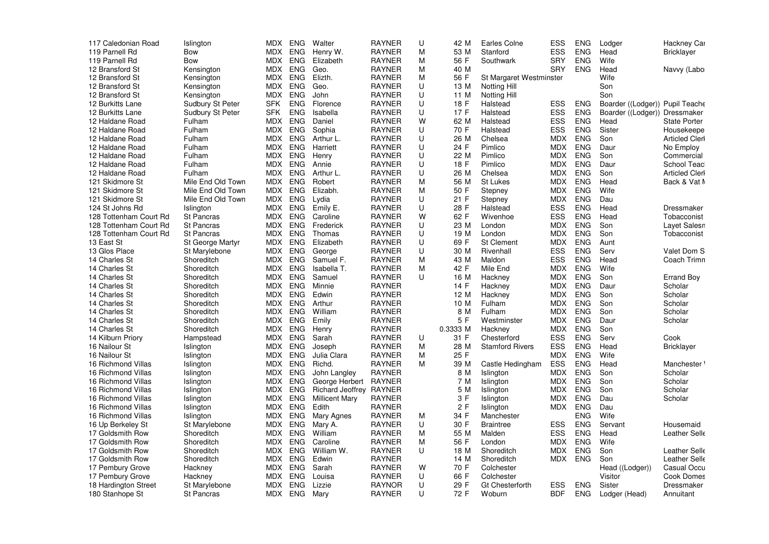| 117 Caledonian Road    | Islington         |            | MDX ENG    | Walter                  | <b>RAYNER</b> | U | 42 M     | Earles Colne            | ESS        | <b>ENG</b> | Lodger                          | Hackney Car             |
|------------------------|-------------------|------------|------------|-------------------------|---------------|---|----------|-------------------------|------------|------------|---------------------------------|-------------------------|
| 119 Parnell Rd         | Bow               | MDX        | ENG        | Henry W.                | <b>RAYNER</b> | M | 53 M     | Stanford                | ESS        | <b>ENG</b> | Head                            | <b>Bricklayer</b>       |
| 119 Parnell Rd         | Bow               | MDX        | ENG        | Elizabeth               | <b>RAYNER</b> | M | 56 F     | Southwark               | <b>SRY</b> | <b>ENG</b> | Wife                            |                         |
| 12 Bransford St        | Kensington        | MDX        | <b>ENG</b> | Geo.                    | <b>RAYNER</b> | M | 40 M     |                         | <b>SRY</b> | <b>ENG</b> | Head                            | Navvy (Labo             |
| 12 Bransford St        | Kensington        | MDX        | <b>ENG</b> | Elizth.                 | <b>RAYNER</b> | M | 56 F     | St Margaret Westminster |            |            | Wife                            |                         |
| 12 Bransford St        | Kensington        | MDX        | <b>ENG</b> | Geo.                    | <b>RAYNER</b> | U | 13 M     | <b>Notting Hill</b>     |            |            | Son                             |                         |
| 12 Bransford St        | Kensington        |            | MDX ENG    | John                    | <b>RAYNER</b> | U | 11 M     | <b>Notting Hill</b>     |            |            | Son                             |                         |
| 12 Burkitts Lane       | Sudbury St Peter  | <b>SFK</b> | <b>ENG</b> | Florence                | <b>RAYNER</b> | U | 18 F     | Halstead                | ESS        | <b>ENG</b> | Boarder ((Lodger)) Pupil Teache |                         |
| 12 Burkitts Lane       | Sudbury St Peter  | <b>SFK</b> | <b>ENG</b> | Isabella                | <b>RAYNER</b> | U | 17 F     | Halstead                | <b>ESS</b> | <b>ENG</b> | Boarder ((Lodger)) Dressmaker   |                         |
| 12 Haldane Road        | Fulham            | MDX        | <b>ENG</b> | Daniel                  | <b>RAYNER</b> | W | 62 M     | Halstead                | <b>ESS</b> | <b>ENG</b> | Head                            | <b>State Porter</b>     |
| 12 Haldane Road        | Fulham            | <b>MDX</b> | <b>ENG</b> | Sophia                  | <b>RAYNER</b> | U | 70 F     | Halstead                | <b>ESS</b> | <b>ENG</b> | Sister                          | Housekeepe              |
| 12 Haldane Road        | Fulham            | MDX        | ENG        | Arthur L.               | <b>RAYNER</b> | U | 26 M     | Chelsea                 | <b>MDX</b> | <b>ENG</b> | Son                             | <b>Articled Clerl</b>   |
|                        | Fulham            | MDX        | ENG        |                         | <b>RAYNER</b> | U | 24 F     | Pimlico                 | <b>MDX</b> | <b>ENG</b> | Daur                            | No Employ               |
| 12 Haldane Road        |                   |            |            | Harriett                |               |   | 22 M     |                         |            |            |                                 |                         |
| 12 Haldane Road        | Fulham            | MDX        | <b>ENG</b> | Henry                   | <b>RAYNER</b> | U |          | Pimlico                 | <b>MDX</b> | <b>ENG</b> | Son                             | Commercial              |
| 12 Haldane Road        | Fulham            | MDX        | <b>ENG</b> | Annie                   | <b>RAYNER</b> | U | 18 F     | Pimlico                 | <b>MDX</b> | <b>ENG</b> | Daur                            | School Teac             |
| 12 Haldane Road        | Fulham            | MDX.       | <b>ENG</b> | Arthur L.               | RAYNER        | U | 26 M     | Chelsea                 | MDX        | <b>ENG</b> | Son                             | <b>Articled Clerl</b>   |
| 121 Skidmore St        | Mile End Old Town |            | MDX ENG    | Robert                  | <b>RAYNER</b> | M | 56 M     | St Lukes                | <b>MDX</b> | <b>ENG</b> | Head                            | Back & Vat M            |
| 121 Skidmore St        | Mile End Old Town | MDX        | <b>ENG</b> | Elizabh.                | <b>RAYNER</b> | M | 50 F     | Stepney                 | <b>MDX</b> | <b>ENG</b> | Wife                            |                         |
| 121 Skidmore St        | Mile End Old Town |            | MDX ENG    | Lydia                   | <b>RAYNER</b> | U | 21 F     | Stepney                 | <b>MDX</b> | <b>ENG</b> | Dau                             |                         |
| 124 St Johns Rd        | Islington         | MDX        | <b>ENG</b> | Emily E.                | <b>RAYNER</b> | U | 28 F     | Halstead                | <b>ESS</b> | <b>ENG</b> | Head                            | Dressmaker              |
| 128 Tottenham Court Rd | St Pancras        | MDX        | <b>ENG</b> | Caroline                | <b>RAYNER</b> | W | 62 F     | Wivenhoe                | <b>ESS</b> | <b>ENG</b> | Head                            | Tobacconist             |
| 128 Tottenham Court Rd | <b>St Pancras</b> | MDX        | <b>ENG</b> | Frederick               | <b>RAYNER</b> | U | 23 M     | London                  | <b>MDX</b> | <b>ENG</b> | Son                             | Layet Salesn            |
| 128 Tottenham Court Rd | <b>St Pancras</b> | MDX        | <b>ENG</b> | Thomas                  | <b>RAYNER</b> | U | 19 M     | London                  | <b>MDX</b> | <b>ENG</b> | Son                             | Tobacconist             |
| 13 East St             | St George Martyr  |            | MDX ENG    | Elizabeth               | <b>RAYNER</b> | U | 69 F     | <b>St Clement</b>       | <b>MDX</b> | <b>ENG</b> | Aunt                            |                         |
| 13 Glos Place          | St Marylebone     | MDX        | ENG        | George                  | <b>RAYNER</b> | U | 30 M     | Rivenhall               | ESS        | <b>ENG</b> | Serv                            | Valet Dom S             |
| 14 Charles St          | Shoreditch        | MDX        | <b>ENG</b> | Samuel F.               | <b>RAYNER</b> | M | 43 M     | Maldon                  | <b>ESS</b> | <b>ENG</b> | Head                            | Coach Trimn             |
| 14 Charles St          | Shoreditch        | MDX        | ENG        | Isabella T.             | <b>RAYNER</b> | M | 42 F     | Mile End                | <b>MDX</b> | <b>ENG</b> | Wife                            |                         |
| 14 Charles St          | Shoreditch        | MDX        | <b>ENG</b> | Samuel                  | <b>RAYNER</b> | U | 16 M     | Hackney                 | <b>MDX</b> | <b>ENG</b> | Son                             | <b>Errand Boy</b>       |
| 14 Charles St          | Shoreditch        |            | MDX ENG    | Minnie                  | RAYNER        |   | 14 F     | Hackney                 | MDX        | <b>ENG</b> | Daur                            | Scholar                 |
| 14 Charles St          | Shoreditch        | MDX        | <b>ENG</b> | Edwin                   | <b>RAYNER</b> |   | 12 M     | Hackney                 | <b>MDX</b> | <b>ENG</b> | Son                             | Scholar                 |
| 14 Charles St          | Shoreditch        | MDX        | ENG        | Arthur                  | <b>RAYNER</b> |   | 10 M     | Fulham                  | <b>MDX</b> | <b>ENG</b> | Son                             | Scholar                 |
| 14 Charles St          | Shoreditch        | MDX        | ENG        | William                 | <b>RAYNER</b> |   | 8 M      | Fulham                  | <b>MDX</b> | <b>ENG</b> | Son                             | Scholar                 |
| 14 Charles St          | Shoreditch        | MDX        | <b>ENG</b> | Emily                   | <b>RAYNER</b> |   | 5 F      | Westminster             | <b>MDX</b> | <b>ENG</b> | Daur                            | Scholar                 |
| 14 Charles St          | Shoreditch        |            | MDX ENG    | Henry                   | <b>RAYNER</b> |   | 0.3333 M | Hackney                 | <b>MDX</b> | <b>ENG</b> | Son                             |                         |
| 14 Kilburn Priory      | Hampstead         | MDX        | ENG        | Sarah                   | <b>RAYNER</b> | U | 31 F     | Chesterford             | ESS        | <b>ENG</b> | Serv                            | Cook                    |
| 16 Nailour St          | Islington         | MDX        | <b>ENG</b> | Joseph                  | <b>RAYNER</b> | M | 28 M     | <b>Stamford Rivers</b>  | <b>ESS</b> | <b>ENG</b> | Head                            | <b>Bricklayer</b>       |
| 16 Nailour St          | Islington         | MDX        | <b>ENG</b> | Julia Clara             | <b>RAYNER</b> | M | 25 F     |                         | <b>MDX</b> | <b>ENG</b> | Wife                            |                         |
| 16 Richmond Villas     | Islington         | MDX        | ENG        | Richd.                  | <b>RAYNER</b> | M | 39 M     | Castle Hedingham        | ESS        | <b>ENG</b> | Head                            | Manchester <sup>'</sup> |
| 16 Richmond Villas     | Islington         | MDX        | ENG        | John Langley            | <b>RAYNER</b> |   | 8 M      | Islington               | <b>MDX</b> | <b>ENG</b> | Son                             | Scholar                 |
| 16 Richmond Villas     | Islington         | MDX        | <b>ENG</b> | George Herbert          | <b>RAYNER</b> |   | 7 M      | Islington               | <b>MDX</b> | <b>ENG</b> | Son                             | Scholar                 |
| 16 Richmond Villas     | Islington         | MDX ENG    |            | <b>Richard Jeoffrey</b> | RAYNER        |   | 5 M      | Islington               | <b>MDX</b> | <b>ENG</b> | Son                             | Scholar                 |
| 16 Richmond Villas     |                   | MDX        | <b>ENG</b> | <b>Millicent Mary</b>   | <b>RAYNER</b> |   | 3 F      |                         | <b>MDX</b> | <b>ENG</b> | Dau                             | Scholar                 |
|                        | Islington         |            |            |                         |               |   | 2F       | Islington               |            | <b>ENG</b> | Dau                             |                         |
| 16 Richmond Villas     | Islington         | MDX        | <b>ENG</b> | Edith                   | <b>RAYNER</b> |   |          | Islington               | <b>MDX</b> |            |                                 |                         |
| 16 Richmond Villas     | Islington         | MDX        | ENG        | Mary Agnes              | <b>RAYNER</b> | M | 34 F     | Manchester              |            | <b>ENG</b> | Wife                            |                         |
| 16 Up Berkeley St      | St Marylebone     | MDX        | <b>ENG</b> | Mary A.                 | RAYNER        | U | 30 F     | <b>Braintree</b>        | ESS        | <b>ENG</b> | Servant                         | Housemaid               |
| 17 Goldsmith Row       | Shoreditch        |            | MDX ENG    | William                 | <b>RAYNER</b> | M | 55 M     | Malden                  | <b>ESS</b> | <b>ENG</b> | Head                            | Leather Selle           |
| 17 Goldsmith Row       | Shoreditch        | MDX        | ENG        | Caroline                | <b>RAYNER</b> | M | 56 F     | London                  | <b>MDX</b> | <b>ENG</b> | Wife                            |                         |
| 17 Goldsmith Row       | Shoreditch        | MDX        | <b>ENG</b> | William W.              | <b>RAYNER</b> | U | 18 M     | Shoreditch              | <b>MDX</b> | <b>ENG</b> | Son                             | Leather Selle           |
| 17 Goldsmith Row       | Shoreditch        | MDX        | <b>ENG</b> | Edwin                   | <b>RAYNER</b> |   | 14 M     | Shoreditch              | <b>MDX</b> | <b>ENG</b> | Son                             | Leather Selle           |
| 17 Pembury Grove       | Hackney           | MDX        | <b>ENG</b> | Sarah                   | <b>RAYNER</b> | W | 70 F     | Colchester              |            |            | Head ((Lodger))                 | Casual Occu             |
| 17 Pembury Grove       | Hackney           | MDX        | ENG        | Louisa                  | <b>RAYNER</b> | U | 66 F     | Colchester              |            |            | Visitor                         | Cook Domes              |
| 18 Hardington Street   | St Marylebone     | MDX        | <b>ENG</b> | Lizzie                  | <b>RAYNOR</b> | U | 29 F     | <b>Gt Chesterforth</b>  | ESS        | <b>ENG</b> | Sister                          | Dressmaker              |
| 180 Stanhope St        | <b>St Pancras</b> |            | MDX ENG    | Mary                    | <b>RAYNER</b> | U | 72 F     | Woburn                  | <b>BDF</b> | <b>ENG</b> | Lodger (Head)                   | Annuitant               |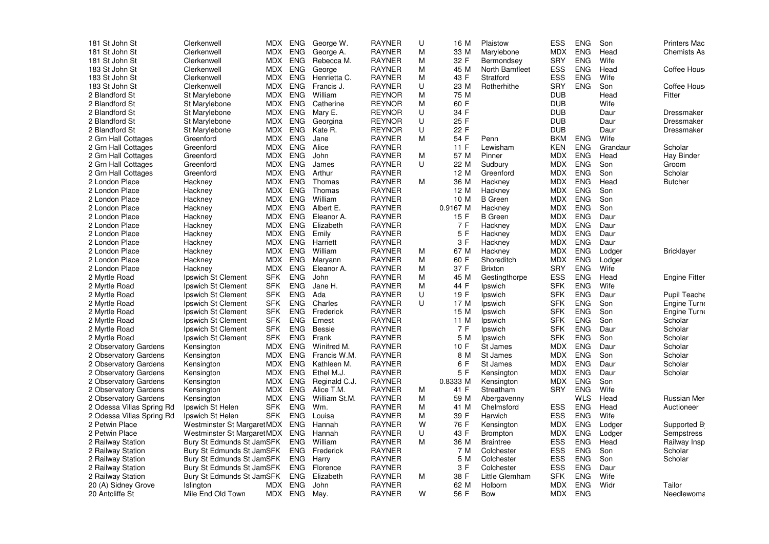| 181 St John St            | Clerkenwell                | MDX        | ENG        | George W.     | <b>RAYNER</b> | U | 16 M     | Plaistow                  | <b>ESS</b> | <b>ENG</b> | Son      | <b>Printers Mac</b>  |
|---------------------------|----------------------------|------------|------------|---------------|---------------|---|----------|---------------------------|------------|------------|----------|----------------------|
| 181 St John St            | Clerkenwell                | MDX        | ENG        | George A.     | <b>RAYNER</b> | M | 33 M     | Marylebone                | <b>MDX</b> | <b>ENG</b> | Head     | <b>Chemists As</b>   |
| 181 St John St            | Clerkenwell                | MDX ENG    |            | Rebecca M.    | <b>RAYNER</b> | M | 32 F     | Bermondsey                | <b>SRY</b> | <b>ENG</b> | Wife     |                      |
| 183 St John St            | Clerkenwell                | <b>MDX</b> | <b>ENG</b> | George        | <b>RAYNER</b> | M | 45 M     | North Bamfleet            | <b>ESS</b> | <b>ENG</b> | Head     | Coffee Hous          |
| 183 St John St            | Clerkenwell                | MDX ENG    |            | Henrietta C.  | <b>RAYNER</b> | M | 43 F     | Stratford                 | <b>ESS</b> | <b>ENG</b> | Wife     |                      |
| 183 St John St            | Clerkenwell                | MDX.       | ENG        | Francis J.    | <b>RAYNER</b> | U | 23 M     | Rotherhithe               | <b>SRY</b> | <b>ENG</b> | Son      | Coffee Hous          |
| 2 Blandford St            | St Marylebone              | MDX        | ENG        | William       | <b>REYNOR</b> | M | 75 M     |                           | <b>DUB</b> |            | Head     | Fitter               |
| 2 Blandford St            | St Marylebone              | MDX ENG    |            | Catherine     | <b>REYNOR</b> | M | 60 F     |                           | <b>DUB</b> |            | Wife     |                      |
| 2 Blandford St            | St Marylebone              | MDX        | ENG        | Mary E.       | <b>REYNOR</b> | U | 34 F     |                           | <b>DUB</b> |            | Daur     | Dressmaker           |
| 2 Blandford St            | St Marylebone              | MDX ENG    |            | Georgina      | <b>REYNOR</b> | U | 25 F     |                           | <b>DUB</b> |            | Daur     | Dressmaker           |
| 2 Blandford St            | St Marylebone              | MDX        | <b>ENG</b> | Kate R.       | <b>REYNOR</b> | U | 22 F     |                           | <b>DUB</b> |            | Daur     | Dressmaker           |
| 2 Grn Hall Cottages       | Greenford                  | MDX        | <b>ENG</b> | Jane          | <b>RAYNER</b> | M | 54 F     | Penn                      | <b>BKM</b> | <b>ENG</b> | Wife     |                      |
| 2 Grn Hall Cottages       | Greenford                  | MDX        | <b>ENG</b> | Alice         | <b>RAYNER</b> |   | 11 F     | Lewisham                  | <b>KEN</b> | <b>ENG</b> | Grandaur | Scholar              |
| 2 Grn Hall Cottages       | Greenford                  | MDX        | <b>ENG</b> | John          | <b>RAYNER</b> | M | 57 M     | Pinner                    | <b>MDX</b> | <b>ENG</b> | Head     | <b>Hay Binder</b>    |
| 2 Grn Hall Cottages       | Greenford                  | <b>MDX</b> | <b>ENG</b> | James         | <b>RAYNER</b> | U | 22 M     | Sudbury                   | <b>MDX</b> | <b>ENG</b> | Son      | Groom                |
| 2 Grn Hall Cottages       | Greenford                  | MDX        | <b>ENG</b> | Arthur        | <b>RAYNER</b> |   | 12 M     | Greenford                 | <b>MDX</b> | <b>ENG</b> | Son      | Scholar              |
| 2 London Place            | Hackney                    | MDX ENG    |            | Thomas        | <b>RAYNER</b> | м | 36 M     | Hackney                   | MDX        | <b>ENG</b> | Head     | <b>Butcher</b>       |
| 2 London Place            |                            | <b>MDX</b> | <b>ENG</b> | Thomas        | <b>RAYNER</b> |   | 12 M     |                           | <b>MDX</b> | <b>ENG</b> | Son      |                      |
|                           | Hackney                    |            | <b>ENG</b> |               | <b>RAYNER</b> |   |          | Hackney<br><b>B</b> Green | <b>MDX</b> | <b>ENG</b> | Son      |                      |
| 2 London Place            | Hackney                    | MDX        |            | William       |               |   | 10 M     |                           |            |            |          |                      |
| 2 London Place            | Hackney                    | MDX        | <b>ENG</b> | Albert E.     | <b>RAYNER</b> |   | 0.9167 M | Hackney                   | <b>MDX</b> | <b>ENG</b> | Son      |                      |
| 2 London Place            | Hackney                    | <b>MDX</b> | <b>ENG</b> | Eleanor A.    | <b>RAYNER</b> |   | 15F      | <b>B</b> Green            | <b>MDX</b> | <b>ENG</b> | Daur     |                      |
| 2 London Place            | Hackney                    | MDX        | <b>ENG</b> | Elizabeth     | <b>RAYNER</b> |   | 7 F      | Hackney                   | <b>MDX</b> | <b>ENG</b> | Daur     |                      |
| 2 London Place            | Hackney                    | MDX        | <b>ENG</b> | Emily         | <b>RAYNER</b> |   | 5 F      | Hackney                   | <b>MDX</b> | <b>ENG</b> | Daur     |                      |
| 2 London Place            | Hackney                    | MDX        | ENG        | Harriett      | <b>RAYNER</b> |   | 3 F      | Hackney                   | <b>MDX</b> | <b>ENG</b> | Daur     |                      |
| 2 London Place            | Hackney                    | <b>MDX</b> | <b>ENG</b> | William       | <b>RAYNER</b> | м | 67 M     | Hackney                   | <b>MDX</b> | <b>ENG</b> | Lodger   | <b>Bricklayer</b>    |
| 2 London Place            | Hackney                    | MDX        | <b>ENG</b> | Maryann       | <b>RAYNER</b> | M | 60 F     | Shoreditch                | <b>MDX</b> | <b>ENG</b> | Lodger   |                      |
| 2 London Place            | Hackney                    | MDX        | <b>ENG</b> | Eleanor A.    | <b>RAYNER</b> | M | 37 F     | <b>Brixton</b>            | <b>SRY</b> | <b>ENG</b> | Wife     |                      |
| 2 Myrtle Road             | Ipswich St Clement         | <b>SFK</b> | <b>ENG</b> | John          | <b>RAYNER</b> | M | 45 M     | Gestingthorpe             | ESS        | <b>ENG</b> | Head     | <b>Engine Fitter</b> |
| 2 Myrtle Road             | Ipswich St Clement         | <b>SFK</b> | <b>ENG</b> | Jane H.       | <b>RAYNER</b> | M | 44 F     | Ipswich                   | <b>SFK</b> | <b>ENG</b> | Wife     |                      |
| 2 Myrtle Road             | Ipswich St Clement         | <b>SFK</b> | <b>ENG</b> | Ada           | <b>RAYNER</b> | U | 19 F     | Ipswich                   | <b>SFK</b> | <b>ENG</b> | Daur     | Pupil Teache         |
| 2 Myrtle Road             | Ipswich St Clement         | <b>SFK</b> | ENG        | Charles       | <b>RAYNER</b> | U | 17 M     | Ipswich                   | <b>SFK</b> | <b>ENG</b> | Son      | Engine Turn          |
| 2 Myrtle Road             | Ipswich St Clement         | <b>SFK</b> | <b>ENG</b> | Frederick     | <b>RAYNER</b> |   | 15 M     | Ipswich                   | <b>SFK</b> | <b>ENG</b> | Son      | Engine Turn          |
| 2 Myrtle Road             | Ipswich St Clement         | <b>SFK</b> | <b>ENG</b> | Ernest        | <b>RAYNER</b> |   | 11 M     | Ipswich                   | <b>SFK</b> | <b>ENG</b> | Son      | Scholar              |
| 2 Myrtle Road             | Ipswich St Clement         | <b>SFK</b> | <b>ENG</b> | Bessie        | <b>RAYNER</b> |   | 7 F      | Ipswich                   | <b>SFK</b> | <b>ENG</b> | Daur     | Scholar              |
| 2 Myrtle Road             | Ipswich St Clement         | <b>SFK</b> | <b>ENG</b> | Frank         | <b>RAYNER</b> |   | 5 M      | Ipswich                   | <b>SFK</b> | <b>ENG</b> | Son      | Scholar              |
| 2 Observatory Gardens     | Kensington                 | <b>MDX</b> | <b>ENG</b> | Winifred M.   | <b>RAYNER</b> |   | 10 F     | St James                  | <b>MDX</b> | <b>ENG</b> | Daur     | Scholar              |
| 2 Observatory Gardens     | Kensington                 | MDX        | <b>ENG</b> | Francis W.M.  | <b>RAYNER</b> |   | 8 M      | St James                  | <b>MDX</b> | <b>ENG</b> | Son      | Scholar              |
| 2 Observatory Gardens     | Kensington                 | MDX        | <b>ENG</b> | Kathleen M.   | <b>RAYNER</b> |   | 6 F      | St James                  | <b>MDX</b> | <b>ENG</b> | Daur     | Scholar              |
| 2 Observatory Gardens     | Kensington                 | MDX        | <b>ENG</b> | Ethel M.J.    | <b>RAYNER</b> |   | 5 F      | Kensington                | <b>MDX</b> | <b>ENG</b> | Daur     | Scholar              |
| 2 Observatory Gardens     | Kensington                 | MDX        | <b>ENG</b> | Reginald C.J. | <b>RAYNER</b> |   | 0.8333 M | Kensington                | <b>MDX</b> | <b>ENG</b> | Son      |                      |
| 2 Observatory Gardens     | Kensington                 | MDX        | <b>ENG</b> | Alice T.M.    | <b>RAYNER</b> | M | 41 F     | Streatham                 | <b>SRY</b> | <b>ENG</b> | Wife     |                      |
| 2 Observatory Gardens     | Kensington                 | MDX        | <b>ENG</b> | William St.M. | <b>RAYNER</b> | M | 59 M     | Abergavenny               |            | <b>WLS</b> | Head     | <b>Russian Mer</b>   |
| 2 Odessa Villas Spring Rd | Ipswich St Helen           | <b>SFK</b> | <b>ENG</b> | Wm.           | <b>RAYNER</b> | M | 41 M     | Chelmsford                | <b>ESS</b> | <b>ENG</b> | Head     | Auctioneer           |
| 2 Odessa Villas Spring Rd | Ipswich St Helen           | <b>SFK</b> | <b>ENG</b> | Louisa        | <b>RAYNER</b> | M | 39 F     | Harwich                   | <b>ESS</b> | <b>ENG</b> | Wife     |                      |
| 2 Petwin Place            | Westminster St MargaretMDX |            | ENG        | Hannah        | <b>RAYNER</b> | W | 76 F     | Kensington                | <b>MDX</b> | <b>ENG</b> | Lodger   | Supported B          |
| 2 Petwin Place            | Westminster St MargaretMDX |            | ENG        | Hannah        | <b>RAYNER</b> | U | 43 F     | <b>Brompton</b>           | <b>MDX</b> | <b>ENG</b> | Lodger   | Sempstress           |
| 2 Railway Station         | Bury St Edmunds St JamSFK  |            | <b>ENG</b> | William       | <b>RAYNER</b> | M | 36 M     | <b>Braintree</b>          | <b>ESS</b> | <b>ENG</b> | Head     | Railway Insp         |
| 2 Railway Station         | Bury St Edmunds St JamSFK  |            | ENG        | Frederick     | <b>RAYNER</b> |   | 7 M      | Colchester                | <b>ESS</b> | <b>ENG</b> | Son      | Scholar              |
| 2 Railway Station         | Bury St Edmunds St JamSFK  |            | ENG        | Harry         | <b>RAYNER</b> |   | 5 M      | Colchester                | <b>ESS</b> | <b>ENG</b> | Son      | Scholar              |
| 2 Railway Station         | Bury St Edmunds St JamSFK  |            | <b>ENG</b> | Florence      | <b>RAYNER</b> |   | 3 F      | Colchester                | ESS        | <b>ENG</b> | Daur     |                      |
| 2 Railway Station         | Bury St Edmunds St JamSFK  |            | <b>ENG</b> | Elizabeth     | <b>RAYNER</b> | M | 38 F     | Little Glemham            | <b>SFK</b> | <b>ENG</b> | Wife     |                      |
| 20 (A) Sidney Grove       | Islington                  | MDX        | <b>ENG</b> | John          | <b>RAYNER</b> |   | 62 M     | Holborn                   | <b>MDX</b> | <b>ENG</b> | Widr     | Tailor               |
| 20 Antcliffe St           | Mile End Old Town          |            | MDX ENG    | May.          | <b>RAYNER</b> | w | 56 F     | Bow                       | <b>MDX</b> | <b>ENG</b> |          | Needlewoma           |
|                           |                            |            |            |               |               |   |          |                           |            |            |          |                      |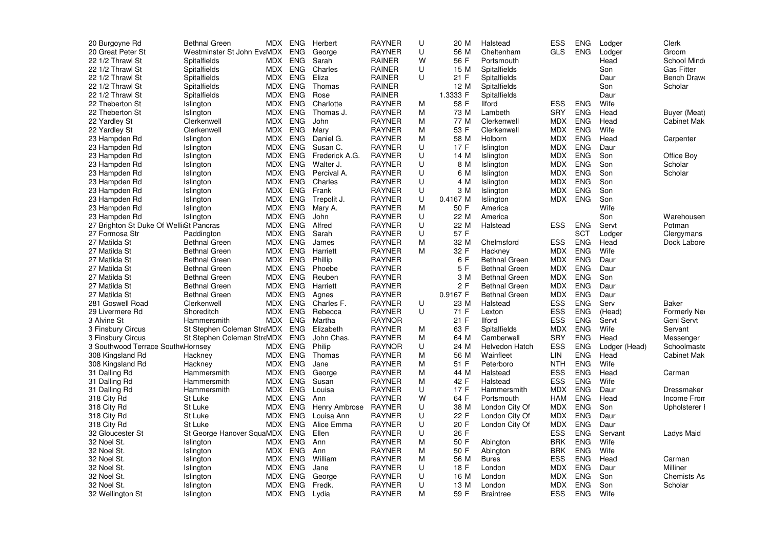| 20 Burgoyne Rd                          | <b>Bethnal Green</b>       | MDX        | <b>ENG</b> | Herbert              | <b>RAYNER</b> | U | 20 M     | Halstead             | ESS        | <b>ENG</b> | Lodger        | Clerk              |
|-----------------------------------------|----------------------------|------------|------------|----------------------|---------------|---|----------|----------------------|------------|------------|---------------|--------------------|
| 20 Great Peter St                       | Westminster St John EvaMDX |            | <b>ENG</b> | George               | <b>RAYNER</b> | U | 56 M     | Cheltenham           | GLS        | <b>ENG</b> | Lodger        | Groom              |
| 22 1/2 Thrawl St                        | Spitalfields               | MDX        | ENG        | Sarah                | RAINER        | W | 56 F     | Portsmouth           |            |            | Head          | School Mind        |
| 22 1/2 Thrawl St                        | Spitalfields               | MDX        | <b>ENG</b> | Charles              | RAINER        | U | 15 M     | Spitalfields         |            |            | Son           | <b>Gas Fitter</b>  |
| 22 1/2 Thrawl St                        | Spitalfields               | MDX        | <b>ENG</b> | Eliza                | RAINER        | U | 21 F     | Spitalfields         |            |            | Daur          | Bench Draw         |
| 22 1/2 Thrawl St                        | Spitalfields               | MDX.       | <b>ENG</b> | Thomas               | RAINER        |   | 12 M     | Spitalfields         |            |            | Son           | Scholar            |
| 22 1/2 Thrawl St                        | Spitalfields               | MDX        | <b>ENG</b> | Rose                 | RAINER        |   | 1.3333 F | Spitalfields         |            |            | Daur          |                    |
| 22 Theberton St                         | Islington                  | MDX.       | <b>ENG</b> | Charlotte            | <b>RAYNER</b> | м | 58 F     | <b>Ilford</b>        | <b>ESS</b> | <b>ENG</b> | Wife          |                    |
| 22 Theberton St                         | Islington                  | MDX.       | <b>ENG</b> | Thomas J.            | <b>RAYNER</b> | M | 73 M     | Lambeth              | <b>SRY</b> | <b>ENG</b> | Head          | Buyer (Meat)       |
| 22 Yardley St                           | Clerkenwell                | MDX        | <b>ENG</b> | John                 | <b>RAYNER</b> | м | 77 M     | Clerkenwell          | MDX        | <b>ENG</b> | Head          | <b>Cabinet Mak</b> |
| 22 Yardley St                           | Clerkenwell                | <b>MDX</b> | <b>ENG</b> | Mary                 | <b>RAYNER</b> | M | 53 F     | Clerkenwell          | <b>MDX</b> | <b>ENG</b> | Wife          |                    |
| 23 Hampden Rd                           | Islington                  | MDX        | ENG        | Daniel G.            | <b>RAYNER</b> | M | 58 M     | Holborn              | MDX        | <b>ENG</b> | Head          | Carpenter          |
| 23 Hampden Rd                           | Islington                  | <b>MDX</b> | <b>ENG</b> | Susan C.             | <b>RAYNER</b> | U | 17F      | Islington            | <b>MDX</b> | <b>ENG</b> | Daur          |                    |
| 23 Hampden Rd                           | Islington                  | MDX        | <b>ENG</b> | Frederick A.G.       | <b>RAYNER</b> | U | 14 M     | Islington            | <b>MDX</b> | <b>ENG</b> | Son           | Office Boy         |
| 23 Hampden Rd                           | Islington                  | MDX        | <b>ENG</b> | Walter J.            | <b>RAYNER</b> | U | 8 M      | Islington            | <b>MDX</b> | <b>ENG</b> | Son           | Scholar            |
| 23 Hampden Rd                           | Islington                  | <b>MDX</b> | <b>ENG</b> | Percival A.          | <b>RAYNER</b> | U | 6 M      | Islington            | <b>MDX</b> | <b>ENG</b> | Son           | Scholar            |
| 23 Hampden Rd                           | Islington                  | MDX        | <b>ENG</b> | Charles              | <b>RAYNER</b> | U | 4 M      | Islington            | <b>MDX</b> | <b>ENG</b> | Son           |                    |
| 23 Hampden Rd                           | Islington                  | MDX.       | ENG        | Frank                | <b>RAYNER</b> | U | 3 M      | Islington            | MDX        | <b>ENG</b> | Son           |                    |
| 23 Hampden Rd                           | Islington                  | <b>MDX</b> | ENG        | Trepolit J.          | <b>RAYNER</b> | U | 0.4167 M | Islington            | <b>MDX</b> | <b>ENG</b> | Son           |                    |
| 23 Hampden Rd                           | Islington                  | MDX        | <b>ENG</b> | Mary A.              | <b>RAYNER</b> | M | 50 F     | America              |            |            | Wife          |                    |
| 23 Hampden Rd                           | Islington                  | MDX.       | <b>ENG</b> | John                 | <b>RAYNER</b> | U | 22 M     | America              |            |            | Son           | Warehousen         |
| 27 Brighton St Duke Of WellinSt Pancras |                            | MDX        | <b>ENG</b> | Alfred               | <b>RAYNER</b> | U | 22 M     | Halstead             | <b>ESS</b> | <b>ENG</b> | Servt         | Potman             |
| 27 Formosa Str                          | Paddington                 | MDX.       | <b>ENG</b> | Sarah                | <b>RAYNER</b> | U | 57 F     |                      |            | <b>SCT</b> | Lodger        | Clergymans         |
| 27 Matilda St                           | <b>Bethnal Green</b>       | MDX        | ENG        | James                | <b>RAYNER</b> | м | 32 M     | Chelmsford           | <b>ESS</b> | <b>ENG</b> | Head          | Dock Labore        |
| 27 Matilda St                           | <b>Bethnal Green</b>       | <b>MDX</b> | <b>ENG</b> | Harriett             | <b>RAYNER</b> | M | 32 F     | Hackney              | <b>MDX</b> | <b>ENG</b> | Wife          |                    |
| 27 Matilda St                           | <b>Bethnal Green</b>       | MDX        | <b>ENG</b> | Phillip              | <b>RAYNER</b> |   | 6 F      | <b>Bethnal Green</b> | <b>MDX</b> | <b>ENG</b> | Daur          |                    |
| 27 Matilda St                           | <b>Bethnal Green</b>       | MDX        | <b>ENG</b> | Phoebe               | <b>RAYNER</b> |   | 5 F      | <b>Bethnal Green</b> | <b>MDX</b> | ENG        | Daur          |                    |
| 27 Matilda St                           | <b>Bethnal Green</b>       | <b>MDX</b> | <b>ENG</b> | Reuben               | <b>RAYNER</b> |   | 3 M      | <b>Bethnal Green</b> | <b>MDX</b> | <b>ENG</b> | Son           |                    |
| 27 Matilda St                           | <b>Bethnal Green</b>       | MDX        | <b>ENG</b> | Harriett             | <b>RAYNER</b> |   | 2 F      | <b>Bethnal Green</b> | <b>MDX</b> | <b>ENG</b> | Daur          |                    |
| 27 Matilda St                           | Bethnal Green              | <b>MDX</b> | ENG        | Agnes                | <b>RAYNER</b> |   | 0.9167 F | <b>Bethnal Green</b> | <b>MDX</b> | <b>ENG</b> | Daur          |                    |
| 281 Goswell Road                        | Clerkenwell                | <b>MDX</b> | <b>ENG</b> | Charles F.           | <b>RAYNER</b> | U | 23 M     | Halstead             | <b>ESS</b> | <b>ENG</b> | Serv          | <b>Baker</b>       |
| 29 Livermere Rd                         | Shoreditch                 | MDX        | <b>ENG</b> | Rebecca              | <b>RAYNER</b> | U | 71 F     | Lexton               | <b>ESS</b> | <b>ENG</b> | (Head)        | Formerly Ne        |
| 3 Alvine St                             | Hammersmith                | MDX        | <b>ENG</b> | Martha               | <b>RAYNOR</b> |   | 21 F     | <b>Ilford</b>        | <b>ESS</b> | <b>ENG</b> | Servt         | Genl Servt         |
| 3 Finsbury Circus                       | St Stephen Coleman StreMDX |            | <b>ENG</b> | Elizabeth            | <b>RAYNER</b> | м | 63 F     | Spitalfields         | <b>MDX</b> | <b>ENG</b> | Wife          | Servant            |
| 3 Finsbury Circus                       | St Stephen Coleman StreMDX |            | ENG        | John Chas.           | <b>RAYNER</b> | M | 64 M     | Camberwell           | <b>SRY</b> | <b>ENG</b> | Head          | Messenger          |
| 3 Southwood Terrace SouthwHornsey       |                            | MDX.       | <b>ENG</b> | Philip               | <b>RAYNOR</b> | U | 24 M     | Helvedon Hatch       | <b>ESS</b> | <b>ENG</b> | Lodger (Head) | Schoolmaste        |
| 308 Kingsland Rd                        | Hackney                    | MDX        | <b>ENG</b> | Thomas               | <b>RAYNER</b> | M | 56 M     | Wainfleet            | LIN        | <b>ENG</b> | Head          | <b>Cabinet Mak</b> |
| 308 Kingsland Rd                        | Hackney                    | MDX        | <b>ENG</b> | Jane                 | <b>RAYNER</b> | М | 51 F     | Peterboro            | <b>NTH</b> | <b>ENG</b> | Wife          |                    |
| 31 Dalling Rd                           | Hammersmith                | <b>MDX</b> | <b>ENG</b> | George               | <b>RAYNER</b> | M | 44 M     | Halstead             | <b>ESS</b> | <b>ENG</b> | Head          | Carman             |
| 31 Dalling Rd                           | Hammersmith                | MDX.       | <b>ENG</b> | Susan                | <b>RAYNER</b> | M | 42 F     | Halstead             | <b>ESS</b> | <b>ENG</b> | Wife          |                    |
| 31 Dalling Rd                           | Hammersmith                | MDX        | <b>ENG</b> | Louisa               | <b>RAYNER</b> | U | 17 F     | Hammersmith          | MDX        | <b>ENG</b> | Daur          | Dressmaker         |
| 318 City Rd                             | St Luke                    | <b>MDX</b> | <b>ENG</b> | Ann                  | <b>RAYNER</b> | W | 64 F     | Portsmouth           | <b>HAM</b> | <b>ENG</b> | Head          | Income From        |
| 318 City Rd                             | St Luke                    | <b>MDX</b> | <b>ENG</b> | <b>Henry Ambrose</b> | <b>RAYNER</b> | U | 38 M     | London City Of       | <b>MDX</b> | <b>ENG</b> | Son           | Upholsterer I      |
| 318 City Rd                             | St Luke                    | MDX        | <b>ENG</b> | Louisa Ann           | <b>RAYNER</b> | U | 22 F     | London City Of       | <b>MDX</b> | <b>ENG</b> | Daur          |                    |
| 318 City Rd                             | St Luke                    | <b>MDX</b> | <b>ENG</b> | Alice Emma           | <b>RAYNER</b> | U | 20 F     | London City Of       | <b>MDX</b> | <b>ENG</b> | Daur          |                    |
| 32 Gloucester St                        | St George Hanover SquaMDX  |            | <b>ENG</b> | Ellen                | <b>RAYNER</b> | U | 26 F     |                      | ESS        | <b>ENG</b> | Servant       | Ladys Maid         |
| 32 Noel St.                             | Islington                  | MDX.       | <b>ENG</b> | Ann                  | <b>RAYNER</b> | М | 50 F     | Abington             | <b>BRK</b> | <b>ENG</b> | Wife          |                    |
| 32 Noel St.                             | Islington                  | MDX        | <b>ENG</b> | Ann                  | <b>RAYNER</b> | M | 50 F     | Abington             | <b>BRK</b> | <b>ENG</b> | Wife          |                    |
| 32 Noel St.                             | Islington                  | MDX        | ENG        | William              | <b>RAYNER</b> | M | 56 M     | <b>Bures</b>         | ESS        | <b>ENG</b> | Head          | Carman             |
| 32 Noel St.                             | Islington                  | MDX.       | <b>ENG</b> | Jane                 | <b>RAYNER</b> | U | 18 F     | London               | <b>MDX</b> | <b>ENG</b> | Daur          | Milliner           |
| 32 Noel St.                             | Islington                  | MDX        | ENG        | George               | <b>RAYNER</b> | U | 16 M     | London               | <b>MDX</b> | <b>ENG</b> | Son           | <b>Chemists As</b> |
| 32 Noel St.                             | Islington                  | MDX.       | <b>ENG</b> | Fredk.               | <b>RAYNER</b> | U | 13 M     | London               | <b>MDX</b> | <b>ENG</b> | Son           | Scholar            |
| 32 Wellington St                        | Islington                  | MDX        |            | ENG Lydia            | <b>RAYNER</b> | м | 59 F     | <b>Braintree</b>     | <b>ESS</b> | <b>ENG</b> | Wife          |                    |
|                                         |                            |            |            |                      |               |   |          |                      |            |            |               |                    |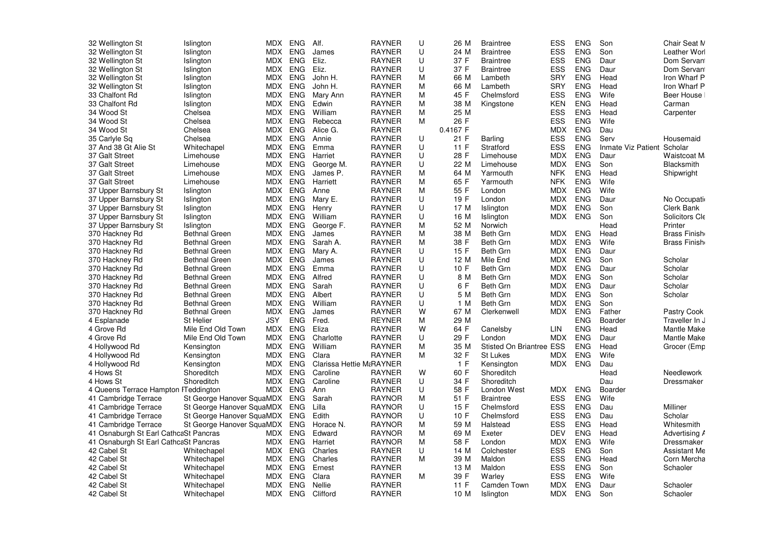| 32 Wellington St                      | Islington                 | MDX        | <b>ENG</b> | Alf.                     | <b>RAYNER</b> | U | 26 M     | <b>Braintree</b>                | ESS        | <b>ENG</b> | Son                        | Chair Seat M        |
|---------------------------------------|---------------------------|------------|------------|--------------------------|---------------|---|----------|---------------------------------|------------|------------|----------------------------|---------------------|
| 32 Wellington St                      | Islington                 | MDX        | ENG        | James                    | <b>RAYNER</b> | U | 24 M     | <b>Braintree</b>                | <b>ESS</b> | <b>ENG</b> | Son                        | Leather Worl        |
| 32 Wellington St                      | Islington                 |            | MDX ENG    | Eliz.                    | <b>RAYNER</b> | U | 37 F     | <b>Braintree</b>                | <b>ESS</b> | <b>ENG</b> | Daur                       | Dom Servan          |
| 32 Wellington St                      | Islington                 | MDX        | ENG        | Eliz.                    | <b>RAYNER</b> | U | 37 F     | <b>Braintree</b>                | ESS        | <b>ENG</b> | Daur                       | Dom Servan          |
| 32 Wellington St                      | Islington                 | MDX        | <b>ENG</b> | John H.                  | <b>RAYNER</b> | M | 66 M     | Lambeth                         | SRY        | <b>ENG</b> | Head                       | Iron Wharf P        |
| 32 Wellington St                      | Islington                 | MDX        | <b>ENG</b> | John H.                  | <b>RAYNER</b> | M | 66 M     | Lambeth                         | <b>SRY</b> | <b>ENG</b> | Head                       | Iron Wharf P        |
| 33 Chalfont Rd                        | Islington                 | MDX        | ENG        | Mary Ann                 | RAYNER        | M | 45 F     | Chelmsford                      | ESS        | <b>ENG</b> | Wife                       | Beer House          |
| 33 Chalfont Rd                        | Islington                 | <b>MDX</b> | <b>ENG</b> | Edwin                    | <b>RAYNER</b> | M | 38 M     | Kingstone                       | <b>KEN</b> | <b>ENG</b> | Head                       | Carman              |
| 34 Wood St                            | Chelsea                   | MDX        | ENG        | William                  | <b>RAYNER</b> | M | 25 M     |                                 | <b>ESS</b> | <b>ENG</b> | Head                       | Carpenter           |
| 34 Wood St                            | Chelsea                   |            | MDX ENG    | Rebecca                  | <b>RAYNER</b> | М | 26 F     |                                 | <b>ESS</b> | <b>ENG</b> | Wife                       |                     |
| 34 Wood St                            | Chelsea                   | MDX        | <b>ENG</b> | Alice G.                 | <b>RAYNER</b> |   | 0.4167 F |                                 | <b>MDX</b> | <b>ENG</b> | Dau                        |                     |
| 35 Carlyle Sq                         | Chelsea                   | MDX        | <b>ENG</b> | Annie                    | RAYNER        | U | 21 F     | Barling                         | ESS        | <b>ENG</b> | Serv                       | Housemaid           |
|                                       |                           | MDX        | <b>ENG</b> | Emma                     | <b>RAYNER</b> | U | 11 F     |                                 | ESS        | <b>ENG</b> |                            |                     |
| 37 And 38 Gt Alie St                  | Whitechapel               |            |            |                          |               | U |          | Stratford                       |            |            | Inmate Viz Patient<br>Daur | Scholar             |
| 37 Galt Street                        | Limehouse                 | MDX        | <b>ENG</b> | Harriet                  | <b>RAYNER</b> |   | 28 F     | Limehouse                       | <b>MDX</b> | <b>ENG</b> |                            | Waistcoat M         |
| 37 Galt Street                        | Limehouse                 | MDX        | <b>ENG</b> | George M.                | <b>RAYNER</b> | U | 22 M     | Limehouse                       | <b>MDX</b> | <b>ENG</b> | Son                        | Blacksmith          |
| 37 Galt Street                        | Limehouse                 | MDX        | <b>ENG</b> | James P.                 | <b>RAYNER</b> | М | 64 M     | Yarmouth                        | <b>NFK</b> | <b>ENG</b> | Head                       | Shipwright          |
| 37 Galt Street                        | Limehouse                 | MDX        | <b>ENG</b> | Harriett                 | <b>RAYNER</b> | M | 65 F     | Yarmouth                        | <b>NFK</b> | <b>ENG</b> | Wife                       |                     |
| 37 Upper Barnsbury St                 | Islington                 | MDX        | <b>ENG</b> | Anne                     | <b>RAYNER</b> | M | 55 F     | London                          | MDX        | <b>ENG</b> | Wife                       |                     |
| 37 Upper Barnsbury St                 | Islington                 | MDX        | ENG        | Mary E.                  | <b>RAYNER</b> | U | 19 F     | London                          | MDX        | <b>ENG</b> | Daur                       | No Occupati         |
| 37 Upper Barnsbury St                 | Islington                 | MDX        | <b>ENG</b> | Henry                    | <b>RAYNER</b> | U | 17 M     | Islington                       | <b>MDX</b> | <b>ENG</b> | Son                        | Clerk Bank          |
| 37 Upper Barnsbury St                 | Islington                 | MDX        | ENG        | William                  | <b>RAYNER</b> | U | 16 M     | Islington                       | MDX        | ENG        | Son                        | Solicitors Cle      |
| 37 Upper Barnsbury St                 | Islington                 | MDX        | <b>ENG</b> | George F.                | <b>RAYNER</b> | M | 52 M     | Norwich                         |            |            | Head                       | Printer             |
| 370 Hackney Rd                        | <b>Bethnal Green</b>      | <b>MDX</b> | <b>ENG</b> | James                    | <b>RAYNER</b> | M | 38 M     | <b>Beth Grn</b>                 | <b>MDX</b> | <b>ENG</b> | Head                       | Brass Finish        |
| 370 Hackney Rd                        | <b>Bethnal Green</b>      | MDX        | ENG        | Sarah A.                 | RAYNER        | M | 38 F     | <b>Beth Grn</b>                 | <b>MDX</b> | ENG        | Wife                       | Brass Finish        |
| 370 Hackney Rd                        | <b>Bethnal Green</b>      | MDX        | <b>ENG</b> | Mary A.                  | <b>RAYNER</b> | U | 15 F     | <b>Beth Grn</b>                 | MDX        | <b>ENG</b> | Daur                       |                     |
| 370 Hackney Rd                        | <b>Bethnal Green</b>      | MDX        | ENG        | James                    | <b>RAYNER</b> | U | 12 M     | Mile End                        | <b>MDX</b> | <b>ENG</b> | Son                        | Scholar             |
| 370 Hackney Rd                        | <b>Bethnal Green</b>      | MDX        | ENG        | Emma                     | <b>RAYNER</b> | U | 10 F     | Beth Grn                        | <b>MDX</b> | <b>ENG</b> | Daur                       | Scholar             |
| 370 Hackney Rd                        | <b>Bethnal Green</b>      | MDX        | <b>ENG</b> | Alfred                   | <b>RAYNER</b> | U | 8 M      | <b>Beth Grn</b>                 | MDX        | <b>ENG</b> | Son                        | Scholar             |
| 370 Hackney Rd                        | <b>Bethnal Green</b>      | MDX        | <b>ENG</b> | Sarah                    | <b>RAYNER</b> | U | 6 F      | <b>Beth Grn</b>                 | MDX        | <b>ENG</b> | Daur                       | Scholar             |
| 370 Hackney Rd                        | <b>Bethnal Green</b>      | <b>MDX</b> | <b>ENG</b> | Albert                   | <b>RAYNER</b> | U | 5 M      | Beth Grn                        | <b>MDX</b> | <b>ENG</b> | Son                        | Scholar             |
| 370 Hackney Rd                        | <b>Bethnal Green</b>      | MDX        | <b>ENG</b> | William                  | <b>RAYNER</b> | U | 1 M      | <b>Beth Grn</b>                 | MDX        | <b>ENG</b> | Son                        |                     |
| 370 Hackney Rd                        | <b>Bethnal Green</b>      | MDX        | <b>ENG</b> | James                    | <b>RAYNER</b> | W | 67 M     | Clerkenwell                     | MDX        | <b>ENG</b> | Father                     | Pastry Cook         |
| 4 Esplanade                           | St Helier                 | <b>JSY</b> | <b>ENG</b> | Fred.                    | <b>REYNER</b> | M | 29 M     |                                 |            | <b>ENG</b> | Boarder                    | Traveller In J      |
| 4 Grove Rd                            | Mile End Old Town         | MDX        | <b>ENG</b> | Eliza                    | <b>RAYNER</b> | W | 64 F     | Canelsby                        | <b>LIN</b> | <b>ENG</b> | Head                       | <b>Mantle Make</b>  |
| 4 Grove Rd                            | Mile End Old Town         | MDX        | ENG        | Charlotte                | <b>RAYNER</b> | U | 29 F     | London                          | <b>MDX</b> | <b>ENG</b> | Daur                       | Mantle Make         |
| 4 Hollywood Rd                        | Kensington                | MDX        | <b>ENG</b> | William                  | <b>RAYNER</b> | M | 35 M     | <b>Stisted On Briantree ESS</b> |            | <b>ENG</b> | Head                       | Grocer (Emp         |
| 4 Hollywood Rd                        | Kensington                | MDX        | <b>ENG</b> | Clara                    | <b>RAYNER</b> | M | 32 F     | St Lukes                        | <b>MDX</b> | <b>ENG</b> | Wife                       |                     |
| 4 Hollywood Rd                        | Kensington                | MDX        | ENG        | Clarissa Hettie M&RAYNER |               |   | 1 F      | Kensington                      | MDX        | <b>ENG</b> | Dau                        |                     |
| 4 Hows St                             | Shoreditch                | MDX        | <b>ENG</b> | Caroline                 | <b>RAYNER</b> | W | 60 F     | Shoreditch                      |            |            | Head                       | Needlework          |
| 4 Hows St                             | Shoreditch                | <b>MDX</b> | <b>ENG</b> | Caroline                 | <b>RAYNER</b> | U | 34 F     | Shoreditch                      |            |            | Dau                        | Dressmaker          |
| 4 Queens Terrace Hampton FTeddington  |                           | MDX        | ENG        | Ann                      | RAYNER        | U | 58 F     | London West                     | MDX        | <b>ENG</b> | Boarder                    |                     |
| 41 Cambridge Terrace                  | St George Hanover SquaMDX |            | ENG        | Sarah                    | <b>RAYNOR</b> | M | 51 F     | <b>Braintree</b>                | <b>ESS</b> | <b>ENG</b> | Wife                       |                     |
| 41 Cambridge Terrace                  | St George Hanover SquaMDX |            | <b>ENG</b> | Lilla                    | <b>RAYNOR</b> | U | 15F      | Chelmsford                      | <b>ESS</b> | <b>ENG</b> | Dau                        | Milliner            |
| 41 Cambridge Terrace                  | St George Hanover SquaMDX |            |            | Edith                    | <b>RAYNOR</b> | U | 10 F     | Chelmsford                      | <b>ESS</b> | <b>ENG</b> | Dau                        | Scholar             |
|                                       |                           |            | ENG        |                          | <b>RAYNOR</b> | М |          |                                 |            | <b>ENG</b> | Head                       |                     |
| 41 Cambridge Terrace                  | St George Hanover SquaMDX |            | ENG        | Horace N.                |               |   | 59 M     | Halstead                        | ESS        |            |                            | Whitesmith          |
| 41 Osnaburgh St Earl CathcaSt Pancras |                           | MDX        | <b>ENG</b> | Edward                   | <b>RAYNOR</b> | M | 69 M     | Exeter                          | <b>DEV</b> | <b>ENG</b> | Head                       | Advertising /       |
| 41 Osnaburgh St Earl CathcaSt Pancras |                           | MDX        | ENG        | Harriet                  | <b>RAYNOR</b> | M | 58 F     | London                          | <b>MDX</b> | <b>ENG</b> | Wife                       | Dressmaker          |
| 42 Cabel St                           | Whitechapel               | MDX        | ENG        | Charles                  | <b>RAYNER</b> | U | 14 M     | Colchester                      | ESS        | <b>ENG</b> | Son                        | <b>Assistant Me</b> |
| 42 Cabel St                           | Whitechapel               | MDX        | <b>ENG</b> | Charles                  | <b>RAYNER</b> | M | 39 M     | Maldon                          | <b>ESS</b> | <b>ENG</b> | Head                       | Corn Mercha         |
| 42 Cabel St                           | Whitechapel               | MDX        | <b>ENG</b> | Ernest                   | <b>RAYNER</b> |   | 13 M     | Maldon                          | <b>ESS</b> | <b>ENG</b> | Son                        | Schaoler            |
| 42 Cabel St                           | Whitechapel               | MDX        | ENG        | Clara                    | <b>RAYNER</b> | M | 39 F     | Warley                          | ESS        | <b>ENG</b> | Wife                       |                     |
| 42 Cabel St                           | Whitechapel               | <b>MDX</b> | <b>ENG</b> | Nellie                   | <b>RAYNER</b> |   | 11 F     | Camden Town                     | <b>MDX</b> | <b>ENG</b> | Daur                       | Schaoler            |
| 42 Cabel St                           | Whitechapel               | MDX        | ENG        | Clifford                 | <b>RAYNER</b> |   | 10 M     | Islington                       | <b>MDX</b> | <b>ENG</b> | Son                        | Schaoler            |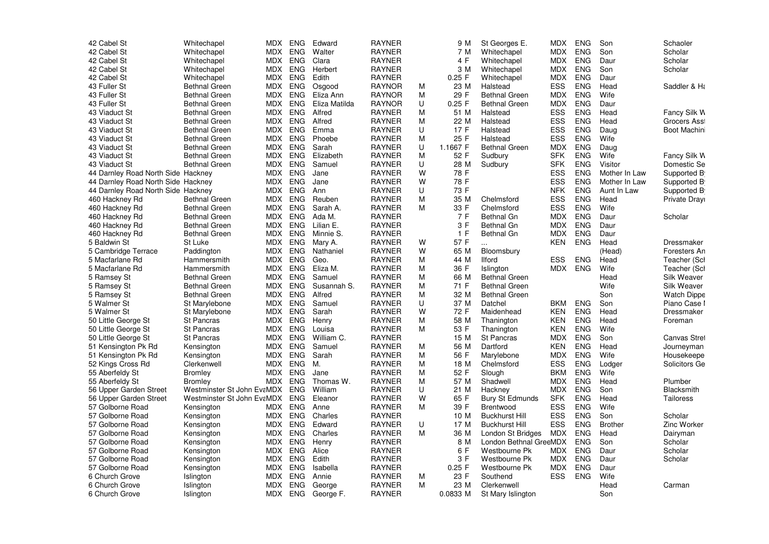| 42 Cabel St                        | Whitechapel                | <b>MDX</b> | <b>ENG</b> | Edward        | <b>RAYNER</b> |        | 9 M      | St Georges E.          | <b>MDX</b> | <b>ENG</b> | Son            | Schaoler           |
|------------------------------------|----------------------------|------------|------------|---------------|---------------|--------|----------|------------------------|------------|------------|----------------|--------------------|
| 42 Cabel St                        | Whitechapel                |            | MDX ENG    | Walter        | <b>RAYNER</b> |        | 7 M      | Whitechapel            | MDX        | <b>ENG</b> | Son            | Scholar            |
| 42 Cabel St                        | Whitechapel                | MDX        | <b>ENG</b> | Clara         | <b>RAYNER</b> |        | 4 F      | Whitechapel            | MDX        | <b>ENG</b> | Daur           | Scholar            |
| 42 Cabel St                        | Whitechapel                | MDX        | <b>ENG</b> | Herbert       | <b>RAYNER</b> |        | 3 M      | Whitechapel            | <b>MDX</b> | <b>ENG</b> | Son            | Scholar            |
| 42 Cabel St                        | Whitechapel                | MDX        | <b>ENG</b> | Edith         | <b>RAYNER</b> |        | $0.25$ F | Whitechapel            | <b>MDX</b> | <b>ENG</b> | Daur           |                    |
| 43 Fuller St                       | <b>Bethnal Green</b>       | MDX        | <b>ENG</b> | Osgood        | <b>RAYNOR</b> | м      | 23 M     | Halstead               | <b>ESS</b> | <b>ENG</b> | Head           | Saddler & Ha       |
| 43 Fuller St                       | <b>Bethnal Green</b>       |            | MDX ENG    | Eliza Ann     | <b>RAYNOR</b> | M      | 29 F     | <b>Bethnal Green</b>   | MDX        | <b>ENG</b> | Wife           |                    |
| 43 Fuller St                       | <b>Bethnal Green</b>       | MDX        | <b>ENG</b> | Eliza Matilda | <b>RAYNOR</b> | $\cup$ | $0.25$ F | <b>Bethnal Green</b>   | <b>MDX</b> | <b>ENG</b> | Daur           |                    |
| 43 Viaduct St                      | <b>Bethnal Green</b>       | MDX        | <b>ENG</b> | Alfred        | <b>RAYNER</b> | М      | 51 M     | Halstead               | <b>ESS</b> | <b>ENG</b> | Head           | Fancy Silk W       |
| 43 Viaduct St                      | <b>Bethnal Green</b>       | MDX        | ENG        | Alfred        | <b>RAYNER</b> | M      | 22 M     | Halstead               | <b>ESS</b> | <b>ENG</b> | Head           | Grocers Ass        |
| 43 Viaduct St                      | <b>Bethnal Green</b>       | MDX        | <b>ENG</b> | Emma          | <b>RAYNER</b> | U      | 17 F     | Halstead               | <b>ESS</b> | <b>ENG</b> | Daug           | Boot Machin        |
| 43 Viaduct St                      | <b>Bethnal Green</b>       | MDX        | ENG        | Phoebe        | <b>RAYNER</b> | M      | 25 F     | Halstead               | ESS        | <b>ENG</b> | Wife           |                    |
| 43 Viaduct St                      | <b>Bethnal Green</b>       | MDX        | <b>ENG</b> | Sarah         | <b>RAYNER</b> | U      | 1.1667 F | <b>Bethnal Green</b>   | <b>MDX</b> | <b>ENG</b> | Daug           |                    |
| 43 Viaduct St                      | <b>Bethnal Green</b>       | MDX        | <b>ENG</b> | Elizabeth     | <b>RAYNER</b> | M      | 52 F     | Sudbury                | <b>SFK</b> | <b>ENG</b> | Wife           | Fancy Silk W       |
| 43 Viaduct St                      | <b>Bethnal Green</b>       | MDX        | <b>ENG</b> | Samuel        | <b>RAYNER</b> | U      | 28 M     | Sudbury                | <b>SFK</b> | <b>ENG</b> | Visitor        | Domestic Se        |
| 44 Darnley Road North Side Hackney |                            | MDX        | <b>ENG</b> | Jane          | <b>RAYNER</b> | W      | 78 F     |                        | ESS        | <b>ENG</b> | Mother In Law  | Supported B        |
| 44 Darnley Road North Side Hackney |                            |            | MDX ENG    | Jane          | <b>RAYNER</b> | W      | 78 F     |                        | <b>ESS</b> | <b>ENG</b> | Mother In Law  | Supported B        |
| 44 Darnley Road North Side Hackney |                            | MDX        | <b>ENG</b> | Ann           | <b>RAYNER</b> | U      | 73 F     |                        | <b>NFK</b> | <b>ENG</b> | Aunt In Law    | Supported B        |
| 460 Hackney Rd                     | <b>Bethnal Green</b>       | MDX        | <b>ENG</b> | Reuben        | <b>RAYNER</b> | M      | 35 M     | Chelmsford             | <b>ESS</b> | <b>ENG</b> | Head           | Private Drayı      |
| 460 Hackney Rd                     | <b>Bethnal Green</b>       | MDX        | <b>ENG</b> | Sarah A.      | <b>RAYNER</b> | M      | 33 F     | Chelmsford             | <b>ESS</b> | <b>ENG</b> | Wife           |                    |
| 460 Hackney Rd                     | <b>Bethnal Green</b>       | MDX        | <b>ENG</b> | Ada M.        | <b>RAYNER</b> |        | 7 F      | <b>Bethnal Gn</b>      | <b>MDX</b> | <b>ENG</b> | Daur           | Scholar            |
| 460 Hackney Rd                     | <b>Bethnal Green</b>       | MDX        | <b>ENG</b> | Lilian E.     | <b>RAYNER</b> |        | 3F       | <b>Bethnal Gn</b>      | <b>MDX</b> | <b>ENG</b> | Daur           |                    |
| 460 Hackney Rd                     | <b>Bethnal Green</b>       | MDX        | <b>ENG</b> | Minnie S.     | <b>RAYNER</b> |        | 1 F      | <b>Bethnal Gn</b>      | <b>MDX</b> | <b>ENG</b> | Daur           |                    |
| 5 Baldwin St                       | St Luke                    |            | MDX ENG    | Mary A.       | <b>RAYNER</b> | W      | 57 F     | $\ldots$               | KEN        | <b>ENG</b> | Head           | Dressmaker         |
| 5 Cambridge Terrace                | Paddington                 | MDX.       | ENG        | Nathaniel     | <b>RAYNER</b> | W      | 65 M     | Bloomsbury             |            |            | (Head)         | Foresters An       |
| 5 Macfarlane Rd                    | Hammersmith                | MDX        | <b>ENG</b> | Geo.          | <b>RAYNER</b> | M      | 44 M     | <b>Ilford</b>          | <b>ESS</b> | <b>ENG</b> | Head           | Teacher (Scl       |
| 5 Macfarlane Rd                    | Hammersmith                | MDX        | <b>ENG</b> | Eliza M.      | <b>RAYNER</b> | M      | 36 F     | Islington              | <b>MDX</b> | <b>ENG</b> | Wife           | Teacher (Scl       |
| 5 Ramsey St                        | <b>Bethnal Green</b>       | MDX        | ENG        | Samuel        | <b>RAYNER</b> | M      | 66 M     | <b>Bethnal Green</b>   |            |            | Head           | Silk Weaver        |
| 5 Ramsey St                        | <b>Bethnal Green</b>       | MDX        | ENG        | Susannah S.   | <b>RAYNER</b> | M      | 71 F     | <b>Bethnal Green</b>   |            |            | Wife           | Silk Weaver        |
| 5 Ramsey St                        | <b>Bethnal Green</b>       | <b>MDX</b> | <b>ENG</b> | Alfred        | <b>RAYNER</b> | M      | 32 M     | <b>Bethnal Green</b>   |            |            | Son            | <b>Watch Dippe</b> |
| 5 Walmer St                        | St Marylebone              | MDX        | ENG        | Samuel        | <b>RAYNER</b> | U      | 37 M     | Datchel                | <b>BKM</b> | <b>ENG</b> | Son            | Piano Case I       |
| 5 Walmer St                        | St Marylebone              | MDX        | <b>ENG</b> | Sarah         | <b>RAYNER</b> | W      | 72 F     | Maidenhead             | <b>KEN</b> | <b>ENG</b> | Head           | Dressmaker         |
| 50 Little George St                | St Pancras                 | MDX        | <b>ENG</b> | Henry         | <b>RAYNER</b> | М      | 58 M     | Thanington             | <b>KEN</b> | <b>ENG</b> | Head           | Foreman            |
| 50 Little George St                | St Pancras                 | MDX        | <b>ENG</b> | Louisa        | <b>RAYNER</b> | M      | 53 F     | Thanington             | <b>KEN</b> | <b>ENG</b> | Wife           |                    |
| 50 Little George St                | St Pancras                 | MDX        | <b>ENG</b> | William C.    | <b>RAYNER</b> |        | 15 M     | <b>St Pancras</b>      | <b>MDX</b> | <b>ENG</b> | Son            | Canvas Stret       |
| 51 Kensington Pk Rd                | Kensington                 | MDX        | <b>ENG</b> | Samuel        | <b>RAYNER</b> | M      | 56 M     | Dartford               | <b>KEN</b> | <b>ENG</b> | Head           | Journeyman         |
| 51 Kensington Pk Rd                | Kensington                 | MDX        | ENG        | Sarah         | <b>RAYNER</b> | М      | 56 F     | Marylebone             | <b>MDX</b> | <b>ENG</b> | Wife           | Housekeepe         |
| 52 Kings Cross Rd                  | Clerkenwell                | MDX        | <b>ENG</b> | М.            | <b>RAYNER</b> | M      | 18 M     | Chelmsford             | <b>ESS</b> | <b>ENG</b> | Lodger         | Solicitors Ge      |
| 55 Aberfeldy St                    | <b>Bromley</b>             | MDX        | <b>ENG</b> | Jane          | <b>RAYNER</b> | M      | 52 F     | Slough                 | <b>BKM</b> | <b>ENG</b> | Wife           |                    |
| 55 Aberfeldy St                    | <b>Bromley</b>             | MDX        | ENG        | Thomas W.     | <b>RAYNER</b> | M      | 57 M     | Shadwell               | <b>MDX</b> | <b>ENG</b> | Head           | Plumber            |
| 56 Upper Garden Street             | Westminster St John EvaMDX |            | <b>ENG</b> | William       | <b>RAYNER</b> | U      | 21 M     | Hackney                | <b>MDX</b> | <b>ENG</b> | Son            | Blacksmith         |
| 56 Upper Garden Street             | Westminster St John EvaMDX |            | <b>ENG</b> | Eleanor       | <b>RAYNER</b> | W      | 65 F     | <b>Bury St Edmunds</b> | <b>SFK</b> | <b>ENG</b> | Head           | <b>Tailoress</b>   |
| 57 Golborne Road                   | Kensington                 | MDX        | ENG        | Anne          | <b>RAYNER</b> | M      | 39 F     | Brentwood              | <b>ESS</b> | <b>ENG</b> | Wife           |                    |
| 57 Golborne Road                   | Kensington                 |            | MDX ENG    | Charles       | <b>RAYNER</b> |        | 10 M     | <b>Buckhurst Hill</b>  | <b>ESS</b> | <b>ENG</b> | Son            | Scholar            |
| 57 Golborne Road                   | Kensington                 | MDX        | ENG        | Edward        | <b>RAYNER</b> | U      | 17 M     | <b>Buckhurst Hill</b>  | <b>ESS</b> | <b>ENG</b> | <b>Brother</b> | Zinc Worker        |
| 57 Golborne Road                   | Kensington                 | MDX        | ENG        | Charles       | <b>RAYNER</b> | M      | 36 M     | London St Bridges      | <b>MDX</b> | <b>ENG</b> | Head           | Dairyman           |
| 57 Golborne Road                   | Kensington                 | <b>MDX</b> | <b>ENG</b> | Henry         | <b>RAYNER</b> |        | 8 M      | London Bethnal GreeMDX |            | <b>ENG</b> | Son            | Scholar            |
| 57 Golborne Road                   | Kensington                 | MDX        | ENG        | Alice         | <b>RAYNER</b> |        | 6 F      | Westbourne Pk          | <b>MDX</b> | <b>ENG</b> | Daur           | Scholar            |
| 57 Golborne Road                   | Kensington                 | MDX        | ENG        | Edith         | <b>RAYNER</b> |        | 3 F      | Westbourne Pk          | MDX        | ENG        | Daur           | Scholar            |
| 57 Golborne Road                   | Kensington                 | MDX        | <b>ENG</b> | Isabella      | <b>RAYNER</b> |        | $0.25$ F | Westbourne Pk          | <b>MDX</b> | <b>ENG</b> | Daur           |                    |
| 6 Church Grove                     | Islington                  | MDX        | <b>ENG</b> | Annie         | <b>RAYNER</b> | M      | 23 F     | Southend               | <b>ESS</b> | <b>ENG</b> | Wife           |                    |
| 6 Church Grove                     | Islington                  | MDX        | <b>ENG</b> | George        | <b>RAYNER</b> | М      | 23 M     | Clerkenwell            |            |            | Head           | Carman             |
| 6 Church Grove                     | Islington                  |            | MDX ENG    | George F.     | <b>RAYNER</b> |        | 0.0833 M | St Mary Islington      |            |            | Son            |                    |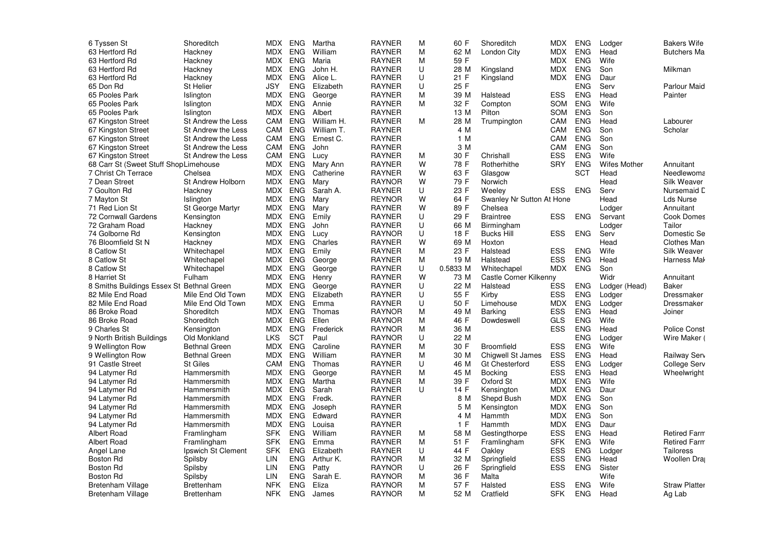| 6 Tyssen St                               | Shoreditch               | <b>MDX</b> | <b>ENG</b> | Martha     | <b>RAYNER</b> | M | 60 F     | Shoreditch                | <b>MDX</b> | <b>ENG</b> | Lodger              | <b>Bakers Wife</b>   |
|-------------------------------------------|--------------------------|------------|------------|------------|---------------|---|----------|---------------------------|------------|------------|---------------------|----------------------|
| 63 Hertford Rd                            | Hackney                  | <b>MDX</b> | ENG        | William    | <b>RAYNER</b> | M | 62 M     | London City               | MDX        | <b>ENG</b> | Head                | <b>Butchers Ma</b>   |
| 63 Hertford Rd                            | Hackney                  | <b>MDX</b> | <b>ENG</b> | Maria      | <b>RAYNER</b> | M | 59 F     |                           | <b>MDX</b> | <b>ENG</b> | Wife                |                      |
| 63 Hertford Rd                            | Hackney                  | <b>MDX</b> | <b>ENG</b> | John H.    | <b>RAYNER</b> | U | 28 M     | Kingsland                 | MDX        | <b>ENG</b> | Son                 | Milkman              |
| 63 Hertford Rd                            | Hackney                  | <b>MDX</b> | <b>ENG</b> | Alice L.   | <b>RAYNER</b> | U | 21 F     | Kingsland                 | <b>MDX</b> | <b>ENG</b> | Daur                |                      |
| 65 Don Rd                                 | <b>St Helier</b>         | JSY        | <b>ENG</b> | Elizabeth  | <b>RAYNER</b> | U | 25 F     |                           |            | <b>ENG</b> | Serv                | <b>Parlour Maid</b>  |
| 65 Pooles Park                            | Islington                | MDX        | <b>ENG</b> | George     | <b>RAYNER</b> | M | 39 M     | Halstead                  | <b>ESS</b> | <b>ENG</b> | Head                | Painter              |
| 65 Pooles Park                            | Islington                | <b>MDX</b> | <b>ENG</b> | Annie      | <b>RAYNER</b> | M | 32 F     | Compton                   | SOM        | <b>ENG</b> | Wife                |                      |
| 65 Pooles Park                            |                          | <b>MDX</b> | <b>ENG</b> | Albert     | <b>RAYNER</b> |   | 13 M     | Pilton                    | <b>SOM</b> | <b>ENG</b> | Son                 |                      |
|                                           | Islington                | CAM        | <b>ENG</b> |            | <b>RAYNER</b> |   |          |                           | CAM        | <b>ENG</b> |                     |                      |
| 67 Kingston Street                        | St Andrew the Less       |            |            | William H. |               | M | 28 M     | Trumpington               |            |            | Head                | Labourer             |
| 67 Kingston Street                        | St Andrew the Less       | CAM        | <b>ENG</b> | William T. | <b>RAYNER</b> |   | 4 M      |                           | CAM        | <b>ENG</b> | Son                 | Scholar              |
| 67 Kingston Street                        | St Andrew the Less       | CAM        | <b>ENG</b> | Ernest C.  | <b>RAYNER</b> |   | 1 M      |                           | <b>CAM</b> | <b>ENG</b> | Son                 |                      |
| 67 Kingston Street                        | St Andrew the Less       | CAM        | <b>ENG</b> | John       | <b>RAYNER</b> |   | 3 M      |                           | CAM        | <b>ENG</b> | Son                 |                      |
| 67 Kingston Street                        | St Andrew the Less       | CAM        | ENG        | Lucy       | <b>RAYNER</b> | M | 30 F     | Chrishall                 | <b>ESS</b> | <b>ENG</b> | Wife                |                      |
| 68 Carr St (Sweet Stuff ShopLimehouse     |                          | <b>MDX</b> | <b>ENG</b> | Mary Ann   | <b>RAYNER</b> | W | 78 F     | Rotherhithe               | <b>SRY</b> | <b>ENG</b> | <b>Wifes Mother</b> | Annuitant            |
| 7 Christ Ch Terrace                       | Chelsea                  | <b>MDX</b> | <b>ENG</b> | Catherine  | <b>RAYNER</b> | W | 63 F     | Glasgow                   |            | SCT        | Head                | Needlewoma           |
| 7 Dean Street                             | <b>St Andrew Holborn</b> | MDX        | <b>ENG</b> | Mary       | <b>RAYNOR</b> | W | 79 F     | Norwich                   |            |            | Head                | <b>Silk Weaver</b>   |
| 7 Goulton Rd                              | Hackney                  | <b>MDX</b> | <b>ENG</b> | Sarah A.   | <b>RAYNER</b> | U | 23 F     | Weeley                    | <b>ESS</b> | <b>ENG</b> | Serv                | Nursemaid C          |
| 7 Mayton St                               | Islington                | MDX        | <b>ENG</b> | Mary       | <b>REYNOR</b> | W | 64 F     | Swanley Nr Sutton At Hone |            |            | Head                | Lds Nurse            |
| 71 Red Lion St                            | <b>St George Martyr</b>  | <b>MDX</b> | <b>ENG</b> | Mary       | <b>RAYNER</b> | W | 89 F     | Chelsea                   |            |            | Lodger              | Annuitant            |
| 72 Cornwall Gardens                       | Kensington               | MDX        | <b>ENG</b> | Emily      | <b>RAYNER</b> | U | 29 F     | <b>Braintree</b>          | ESS        | <b>ENG</b> | Servant             | <b>Cook Domes</b>    |
| 72 Graham Road                            | Hackney                  | MDX        | <b>ENG</b> | John       | <b>RAYNER</b> | U | 66 M     | Birmingham                |            |            | Lodger              | Tailor               |
| 74 Golborne Rd                            | Kensington               | <b>MDX</b> | <b>ENG</b> | Lucy       | <b>RAYNOR</b> | U | 18 F     | <b>Bucks Hill</b>         | <b>ESS</b> | <b>ENG</b> | Serv                | Domestic Se          |
| 76 Bloomfield St N                        | Hackney                  | MDX        | <b>ENG</b> | Charles    | <b>RAYNER</b> | W | 69 M     | Hoxton                    |            |            | Head                | <b>Clothes Man</b>   |
| 8 Catlow St                               | Whitechapel              | <b>MDX</b> | <b>ENG</b> | Emily      | <b>RAYNER</b> | M | 23 F     | Halstead                  | <b>ESS</b> | <b>ENG</b> | Wife                | <b>Silk Weaver</b>   |
| 8 Catlow St                               | Whitechapel              | <b>MDX</b> | <b>ENG</b> | George     | <b>RAYNER</b> | M | 19 M     | Halstead                  | <b>ESS</b> | <b>ENG</b> | Head                | Harness Mal          |
| 8 Catlow St                               | Whitechapel              | MDX        | <b>ENG</b> | George     | <b>RAYNER</b> | U | 0.5833 M | Whitechapel               | MDX        | <b>ENG</b> | Son                 |                      |
| 8 Harriet St                              | Fulham                   | <b>MDX</b> | <b>ENG</b> | Henry      | <b>RAYNER</b> | W | 73 M     | Castle Corner Kilkenny    |            |            | Widr                | Annuitant            |
| 8 Smiths Buildings Essex St Bethnal Green |                          | <b>MDX</b> | <b>ENG</b> | George     | <b>RAYNER</b> | U | 22 M     | Halstead                  | <b>ESS</b> | <b>ENG</b> | Lodger (Head)       | <b>Baker</b>         |
| 82 Mile End Road                          | Mile End Old Town        | <b>MDX</b> | <b>ENG</b> | Elizabeth  | <b>RAYNER</b> | U | 55 F     | Kirby                     | <b>ESS</b> | <b>ENG</b> | Lodger              | Dressmaker           |
| 82 Mile End Road                          | Mile End Old Town        | MDX        | <b>ENG</b> | Emma       | <b>RAYNER</b> | U | 50 F     | Limehouse                 | <b>MDX</b> | <b>ENG</b> | Lodger              | Dressmaker           |
| 86 Broke Road                             | Shoreditch               | MDX        | <b>ENG</b> | Thomas     | <b>RAYNOR</b> | м | 49 M     | Barking                   | <b>ESS</b> | <b>ENG</b> | Head                | Joiner               |
| 86 Broke Road                             | Shoreditch               | <b>MDX</b> | <b>ENG</b> | Ellen      | <b>RAYNOR</b> | M | 46 F     | Dowdeswell                | GLS        | <b>ENG</b> | Wife                |                      |
| 9 Charles St                              | Kensington               | MDX        | <b>ENG</b> | Frederick  | <b>RAYNOR</b> | M | 36 M     |                           | <b>ESS</b> | <b>ENG</b> | Head                | <b>Police Const</b>  |
| 9 North British Buildings                 | Old Monkland             | <b>LKS</b> | <b>SCT</b> | Paul       | <b>RAYNOR</b> | U | 22 M     |                           |            | ENG.       | Lodger              | Wire Maker (         |
|                                           | <b>Bethnal Green</b>     | <b>MDX</b> | <b>ENG</b> | Caroline   | <b>RAYNER</b> | M | 30 F     | Broomfield                | <b>ESS</b> | <b>ENG</b> | Wife                |                      |
| 9 Wellington Row                          |                          | <b>MDX</b> | <b>ENG</b> | William    |               | M | 30 M     |                           |            | <b>ENG</b> |                     |                      |
| 9 Wellington Row                          | <b>Bethnal Green</b>     |            |            |            | <b>RAYNER</b> |   |          | Chiqwell St James         | <b>ESS</b> |            | Head                | Railway Serv         |
| 91 Castle Street                          | <b>St Giles</b>          | CAM        | <b>ENG</b> | Thomas     | <b>RAYNER</b> | U | 46 M     | <b>Gt Chesterford</b>     | <b>ESS</b> | <b>ENG</b> | Lodger              | College Serv         |
| 94 Latymer Rd                             | Hammersmith              | MDX        | <b>ENG</b> | George     | <b>RAYNER</b> | M | 45 M     | <b>Bocking</b>            | ESS        | <b>ENG</b> | Head                | Wheelwright          |
| 94 Latymer Rd                             | Hammersmith              | <b>MDX</b> | <b>ENG</b> | Martha     | <b>RAYNER</b> | M | 39 F     | Oxford St                 | <b>MDX</b> | <b>ENG</b> | Wife                |                      |
| 94 Latymer Rd                             | Hammersmith              | MDX        | <b>ENG</b> | Sarah      | <b>RAYNER</b> | U | 14 F     | Kensington                | MDX        | <b>ENG</b> | Daur                |                      |
| 94 Latymer Rd                             | Hammersmith              | <b>MDX</b> | <b>ENG</b> | Fredk.     | <b>RAYNER</b> |   | 8 M      | Shepd Bush                | <b>MDX</b> | <b>ENG</b> | Son                 |                      |
| 94 Latymer Rd                             | Hammersmith              | MDX        | <b>ENG</b> | Joseph     | <b>RAYNER</b> |   | 5 M      | Kensington                | MDX        | <b>ENG</b> | Son                 |                      |
| 94 Latymer Rd                             | Hammersmith              | <b>MDX</b> | <b>ENG</b> | Edward     | <b>RAYNER</b> |   | 4 M      | Hammth                    | <b>MDX</b> | <b>ENG</b> | Son                 |                      |
| 94 Latymer Rd                             | Hammersmith              | <b>MDX</b> | <b>ENG</b> | Louisa     | <b>RAYNER</b> |   | 1 F      | Hammth                    | <b>MDX</b> | <b>ENG</b> | Daur                |                      |
| <b>Albert Road</b>                        | Framlingham              | <b>SFK</b> | <b>ENG</b> | William    | <b>RAYNER</b> | M | 58 M     | Gestingthorpe             | <b>ESS</b> | <b>ENG</b> | Head                | <b>Retired Farm</b>  |
| Albert Road                               | Framlingham              | SFK        | <b>ENG</b> | Emma       | <b>RAYNER</b> | M | 51 F     | Framlingham               | <b>SFK</b> | <b>ENG</b> | Wife                | <b>Retired Farm</b>  |
| Angel Lane                                | Ipswich St Clement       | <b>SFK</b> | <b>ENG</b> | Elizabeth  | <b>RAYNER</b> | U | 44 F     | Oakley                    | <b>ESS</b> | <b>ENG</b> | Lodger              | Tailoress            |
| <b>Boston Rd</b>                          | Spilsby                  | LIN        | <b>ENG</b> | Arthur K.  | <b>RAYNOR</b> | M | 32 M     | Springfield               | <b>ESS</b> | <b>ENG</b> | Head                | Woollen Dra          |
| Boston Rd                                 | Spilsby                  | LIN        | <b>ENG</b> | Patty      | <b>RAYNOR</b> | U | 26 F     | Springfield               | <b>ESS</b> | <b>ENG</b> | Sister              |                      |
| <b>Boston Rd</b>                          | Spilsby                  | LIN        | <b>ENG</b> | Sarah E.   | <b>RAYNOR</b> | M | 36 F     | Malta                     |            |            | Wife                |                      |
| <b>Bretenham Village</b>                  | Brettenham               | NFK        | <b>ENG</b> | Eliza      | <b>RAYNOR</b> | M | 57 F     | Halsted                   | ESS        | <b>ENG</b> | Wife                | <b>Straw Platter</b> |
| <b>Bretenham Village</b>                  | Brettenham               | <b>NFK</b> | <b>ENG</b> | James      | <b>RAYNOR</b> | M | 52 M     | Cratfield                 | <b>SFK</b> | <b>ENG</b> | Head                | Ag Lab               |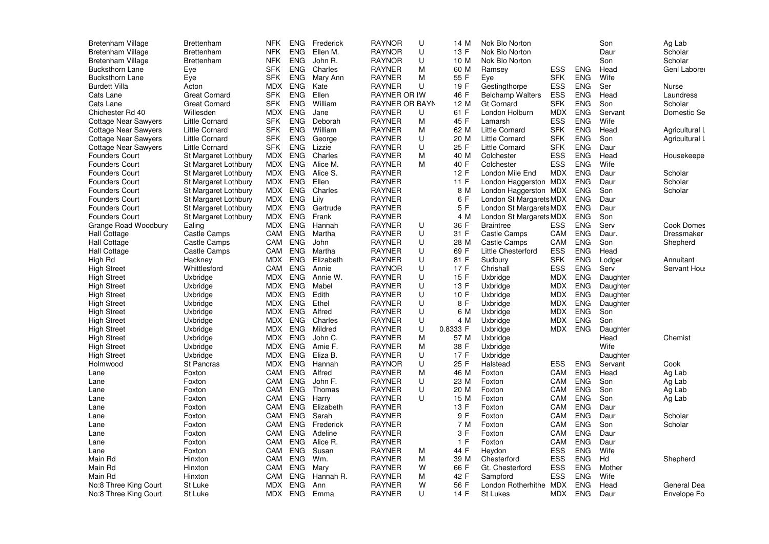| <b>Bretenham Village</b>    | <b>Brettenham</b>     | <b>NFK</b> | <b>ENG</b> | Frederick | <b>RAYNOR</b>         | U | 14 M     | Nok Blo Norton          |            |            | Son      | Ag Lab            |
|-----------------------------|-----------------------|------------|------------|-----------|-----------------------|---|----------|-------------------------|------------|------------|----------|-------------------|
| <b>Bretenham Village</b>    | <b>Brettenham</b>     | <b>NFK</b> | <b>ENG</b> | Ellen M.  | <b>RAYNOR</b>         | U | 13 F     | Nok Blo Norton          |            |            | Daur     | Scholar           |
| <b>Bretenham Village</b>    | <b>Brettenham</b>     | <b>NFK</b> | <b>ENG</b> | John R.   | <b>RAYNOR</b>         | U | 10 M     | Nok Blo Norton          |            |            | Son      | Scholar           |
| <b>Bucksthorn Lane</b>      | Eye                   | <b>SFK</b> | <b>ENG</b> | Charles   | <b>RAYNER</b>         | M | 60 M     | Ramsey                  | ESS        | <b>ENG</b> | Head     | Genl Laborer      |
| <b>Bucksthorn Lane</b>      | Eye                   | SFK        | <b>ENG</b> | Mary Ann  | <b>RAYNER</b>         | М | 55 F     | Eve                     | <b>SFK</b> | <b>ENG</b> | Wife     |                   |
| <b>Burdett Villa</b>        | Acton                 | <b>MDX</b> | <b>ENG</b> | Kate      | <b>RAYNER</b>         | U | 19 F     | Gestingthorpe           | <b>ESS</b> | <b>ENG</b> | Ser      | Nurse             |
| Cats Lane                   | <b>Great Cornard</b>  | <b>SFK</b> | <b>ENG</b> | Ellen     | <b>RAYNER OR IW</b>   |   | 46 F     | <b>Belchamp Walters</b> | <b>ESS</b> | <b>ENG</b> | Head     | Laundress         |
| Cats Lane                   | <b>Great Cornard</b>  | SFK        | <b>ENG</b> | William   | <b>RAYNER OR BAYN</b> |   | 12 M     | <b>Gt Cornard</b>       | <b>SFK</b> | <b>ENG</b> | Son      | Scholar           |
| Chichester Rd 40            | Willesden             | <b>MDX</b> | <b>ENG</b> | Jane      | <b>RAYNER</b>         | U | 61 F     | London Holburn          | <b>MDX</b> | <b>ENG</b> | Servant  | Domestic Se       |
| <b>Cottage Near Sawyers</b> | <b>Little Cornard</b> | <b>SFK</b> | <b>ENG</b> | Deborah   | <b>RAYNER</b>         | М | 45 F     | Lamarsh                 | <b>ESS</b> | <b>ENG</b> | Wife     |                   |
| Cottage Near Sawyers        | <b>Little Cornard</b> | <b>SFK</b> | ENG.       | William   | <b>RAYNER</b>         | М | 62 M     | Little Cornard          | <b>SFK</b> | <b>ENG</b> | Head     | Agricultural L    |
|                             | <b>Little Cornard</b> | <b>SFK</b> | <b>ENG</b> |           | <b>RAYNER</b>         | U | 20 M     | <b>Little Cornard</b>   | <b>SFK</b> | <b>ENG</b> | Son      |                   |
| <b>Cottage Near Sawyers</b> |                       | <b>SFK</b> | <b>ENG</b> | George    | <b>RAYNER</b>         | U | 25 F     |                         | <b>SFK</b> | <b>ENG</b> |          | Agricultural L    |
| <b>Cottage Near Sawyers</b> | Little Cornard        |            |            | Lizzie    |                       |   |          | Little Cornard          |            |            | Daur     |                   |
| <b>Founders Court</b>       | St Margaret Lothbury  | MDX        | <b>ENG</b> | Charles   | <b>RAYNER</b>         | М | 40 M     | Colchester              | ESS        | <b>ENG</b> | Head     | Housekeepe        |
| <b>Founders Court</b>       | St Margaret Lothbury  | MDX        | <b>ENG</b> | Alice M.  | <b>RAYNER</b>         | М | 40 F     | Colchester              | <b>ESS</b> | <b>ENG</b> | Wife     |                   |
| <b>Founders Court</b>       | St Margaret Lothbury  | MDX        | <b>ENG</b> | Alice S.  | <b>RAYNER</b>         |   | 12 F     | London Mile End         | <b>MDX</b> | <b>ENG</b> | Daur     | Scholar           |
| <b>Founders Court</b>       | St Margaret Lothbury  | MDX        | <b>ENG</b> | Ellen     | <b>RAYNER</b>         |   | 11 F     | London Haggerston MDX   |            | <b>ENG</b> | Daur     | Scholar           |
| <b>Founders Court</b>       | St Margaret Lothbury  | MDX        | <b>ENG</b> | Charles   | <b>RAYNER</b>         |   | 8 M      | London Haggerston MDX   |            | <b>ENG</b> | Son      | Scholar           |
| <b>Founders Court</b>       | St Margaret Lothbury  | MDX        | <b>ENG</b> | Lily      | <b>RAYNER</b>         |   | 6 F      | London St Margarets MDX |            | <b>ENG</b> | Daur     |                   |
| <b>Founders Court</b>       | St Margaret Lothbury  | MDX        | <b>ENG</b> | Gertrude  | <b>RAYNER</b>         |   | 5 F      | London St Margarets MDX |            | <b>ENG</b> | Daur     |                   |
| <b>Founders Court</b>       | St Margaret Lothbury  | MDX        | <b>ENG</b> | Frank     | <b>RAYNER</b>         |   | 4 M      | London St Margarets MDX |            | <b>ENG</b> | Son      |                   |
| Grange Road Woodbury        | Ealing                | MDX        | <b>ENG</b> | Hannah    | <b>RAYNER</b>         | U | 36 F     | <b>Braintree</b>        | ESS        | <b>ENG</b> | Serv     | <b>Cook Domes</b> |
| Hall Cottage                | Castle Camps          | CAM        | <b>ENG</b> | Martha    | <b>RAYNER</b>         | U | 31 F     | Castle Camps            | CAM        | <b>ENG</b> | Daur.    | Dressmaker        |
| Hall Cottage                | Castle Camps          | CAM        | <b>ENG</b> | John      | <b>RAYNER</b>         | U | 28 M     | Castle Camps            | CAM        | <b>ENG</b> | Son      | Shepherd          |
| <b>Hall Cottage</b>         | Castle Camps          | CAM        | <b>ENG</b> | Martha    | <b>RAYNER</b>         | U | 69 F     | Little Chesterford      | <b>ESS</b> | <b>ENG</b> | Head     |                   |
| High Rd                     | Hackney               | <b>MDX</b> | <b>ENG</b> | Elizabeth | <b>RAYNER</b>         | U | 81 F     | Sudbury                 | <b>SFK</b> | <b>ENG</b> | Lodger   | Annuitant         |
| <b>High Street</b>          | Whittlesford          | CAM        | <b>ENG</b> | Annie     | <b>RAYNOR</b>         | U | 17 F     | Chrishall               | <b>ESS</b> | <b>ENG</b> | Serv     | Servant Hou       |
| <b>High Street</b>          | Uxbridge              | <b>MDX</b> | <b>ENG</b> | Annie W.  | <b>RAYNER</b>         | U | 15 F     | Uxbridge                | <b>MDX</b> | <b>ENG</b> | Daughter |                   |
| <b>High Street</b>          | Uxbridge              | MDX        | <b>ENG</b> | Mabel     | <b>RAYNER</b>         | U | 13 F     | Uxbridge                | <b>MDX</b> | <b>ENG</b> | Daughter |                   |
| <b>High Street</b>          | Uxbridge              | <b>MDX</b> | <b>ENG</b> | Edith     | <b>RAYNER</b>         | U | 10 F     | Uxbridge                | <b>MDX</b> | <b>ENG</b> | Daughter |                   |
| <b>High Street</b>          | Uxbridge              | <b>MDX</b> | <b>ENG</b> | Ethel     | <b>RAYNER</b>         | U | 8 F      | Uxbridge                | MDX        | ENG        | Daughter |                   |
| <b>High Street</b>          | Uxbridge              | MDX        | <b>ENG</b> | Alfred    | <b>RAYNER</b>         | U | 6 M      | Uxbridge                | <b>MDX</b> | <b>ENG</b> | Son      |                   |
| <b>High Street</b>          | Uxbridge              | <b>MDX</b> | <b>ENG</b> | Charles   | <b>RAYNER</b>         | U | 4 M      | Uxbridge                | <b>MDX</b> | <b>ENG</b> | Son      |                   |
| <b>High Street</b>          | Uxbridge              | MDX        | <b>ENG</b> | Mildred   | <b>RAYNER</b>         | U | 0.8333 F | Uxbridge                | MDX        | ENG        | Daughter |                   |
| <b>High Street</b>          | Uxbridge              | MDX        | <b>ENG</b> | John C.   | <b>RAYNER</b>         | М | 57 M     | Uxbridge                |            |            | Head     | Chemist           |
| <b>High Street</b>          | Uxbridge              | <b>MDX</b> | <b>ENG</b> | Amie F.   | <b>RAYNER</b>         | M | 38 F     | Uxbridge                |            |            | Wife     |                   |
| <b>High Street</b>          | Uxbridge              | <b>MDX</b> | <b>ENG</b> | Eliza B.  | <b>RAYNER</b>         | U | 17F      | Uxbridge                |            |            | Daughter |                   |
| Holmwood                    | <b>St Pancras</b>     | <b>MDX</b> | <b>ENG</b> | Hannah    | <b>RAYNOR</b>         | U | 25 F     | Halstead                | <b>ESS</b> | <b>ENG</b> | Servant  | Cook              |
|                             |                       | CAM        | <b>ENG</b> | Alfred    | <b>RAYNER</b>         | M | 46 M     |                         | CAM        | <b>ENG</b> |          |                   |
| Lane                        | Foxton                |            |            |           |                       | U |          | Foxton                  |            |            | Head     | Ag Lab            |
| Lane                        | Foxton                | CAM        | ENG.       | John F.   | <b>RAYNER</b>         |   | 23 M     | Foxton                  | CAM        | <b>ENG</b> | Son      | Ag Lab            |
| Lane                        | Foxton                | CAM        | <b>ENG</b> | Thomas    | <b>RAYNER</b>         | U | 20 M     | Foxton                  | CAM        | <b>ENG</b> | Son      | Ag Lab            |
| Lane                        | Foxton                | CAM        | ENG        | Harry     | <b>RAYNER</b>         | U | 15 M     | Foxton                  | CAM        | <b>ENG</b> | Son      | Ag Lab            |
| Lane                        | Foxton                | CAM        | <b>ENG</b> | Elizabeth | <b>RAYNER</b>         |   | 13 F     | Foxton                  | CAM        | <b>ENG</b> | Daur     |                   |
| Lane                        | Foxton                | CAM        | <b>ENG</b> | Sarah     | <b>RAYNER</b>         |   | 9 F      | Foxton                  | CAM        | <b>ENG</b> | Daur     | Scholar           |
| Lane                        | Foxton                | CAM        | <b>ENG</b> | Frederick | <b>RAYNER</b>         |   | 7 M      | Foxton                  | CAM        | <b>ENG</b> | Son      | Scholar           |
| Lane                        | Foxton                | CAM        | <b>ENG</b> | Adeline   | <b>RAYNER</b>         |   | 3 F      | Foxton                  | CAM        | <b>ENG</b> | Daur     |                   |
| Lane                        | Foxton                | CAM        | <b>ENG</b> | Alice R.  | <b>RAYNER</b>         |   | 1 F      | Foxton                  | CAM        | <b>ENG</b> | Daur     |                   |
| Lane                        | Foxton                | CAM        | <b>ENG</b> | Susan     | <b>RAYNER</b>         | М | 44 F     | Heydon                  | ESS        | <b>ENG</b> | Wife     |                   |
| Main Rd                     | Hinxton               | CAM        | <b>ENG</b> | Wm.       | <b>RAYNER</b>         | М | 39 M     | Chesterford             | ESS        | <b>ENG</b> | Hd       | Shepherd          |
| Main Rd                     | Hinxton               | CAM        | <b>ENG</b> | Mary      | <b>RAYNER</b>         | W | 66 F     | Gt. Chesterford         | ESS        | <b>ENG</b> | Mother   |                   |
| Main Rd                     | Hinxton               | CAM        | <b>ENG</b> | Hannah R. | <b>RAYNER</b>         | М | 42 F     | Sampford                | ESS        | <b>ENG</b> | Wife     |                   |
| No:8 Three King Court       | St Luke               | MDX.       | <b>ENG</b> | Ann       | <b>RAYNER</b>         | W | 56 F     | London Rotherhithe      | <b>MDX</b> | <b>ENG</b> | Head     | General Dea       |
| No:8 Three King Court       | St Luke               | MDX        | <b>ENG</b> | Emma      | <b>RAYNER</b>         | U | 14 F     | St Lukes                | <b>MDX</b> | <b>ENG</b> | Daur     | Envelope Fo       |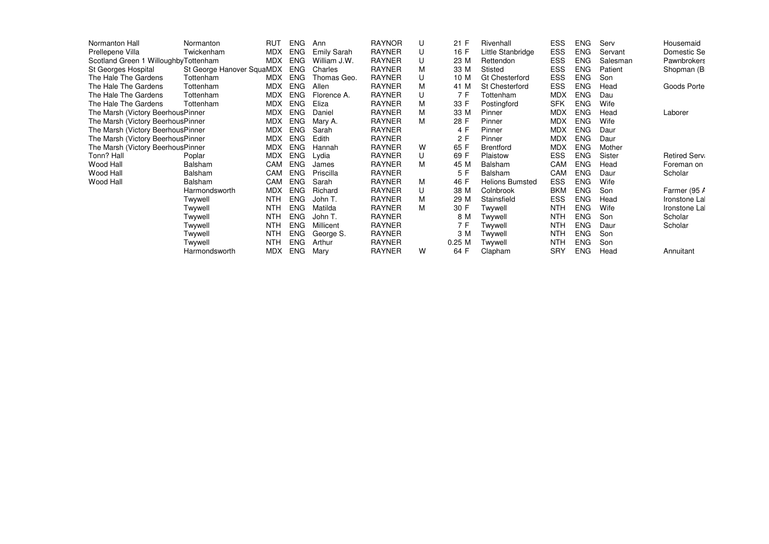| Normanton Hall                        | Normanton                 | <b>RUT</b> | <b>ENG</b> | Ann          | <b>RAYNOR</b> | U | 21 F     | Rivenhall              | <b>ESS</b> | <b>ENG</b> | Serv     | Housemaid           |
|---------------------------------------|---------------------------|------------|------------|--------------|---------------|---|----------|------------------------|------------|------------|----------|---------------------|
| Prellepene Villa                      | Twickenham                | <b>MDX</b> | <b>ENG</b> | Emily Sarah  | <b>RAYNER</b> | U | 16 F     | Little Stanbridge      | ESS        | <b>ENG</b> | Servant  | Domestic Se         |
| Scotland Green 1 Willoughby Tottenham |                           | <b>MDX</b> | <b>ENG</b> | William J.W. | <b>RAYNER</b> | U | 23 M     | Rettendon              | ESS        | <b>ENG</b> | Salesman | <b>Pawnbrokers</b>  |
| St Georges Hospital                   | St George Hanover SquaMDX |            | <b>ENG</b> | Charles      | <b>RAYNER</b> | М | 33 M     | Stisted                | ESS        | <b>ENG</b> | Patient  | Shopman (B          |
| The Hale The Gardens                  | Tottenham                 | MDX        | <b>ENG</b> | Thomas Geo.  | <b>RAYNER</b> | U | 10 M     | <b>Gt Chesterford</b>  | ESS        | <b>ENG</b> | Son      |                     |
| The Hale The Gardens                  | Tottenham                 | MDX        | <b>ENG</b> | Allen        | RAYNER        | М | 41 M     | St Chesterford         | ESS        | <b>ENG</b> | Head     | Goods Porte         |
| The Hale The Gardens                  | Tottenham                 | MDX        | <b>ENG</b> | Florence A.  | RAYNER        | U | 7 F      | Tottenham              | <b>MDX</b> | <b>ENG</b> | Dau      |                     |
| The Hale The Gardens                  | Tottenham                 | <b>MDX</b> | <b>ENG</b> | Eliza        | RAYNER        | М | 33 F     | Postingford            | <b>SFK</b> | <b>ENG</b> | Wife     |                     |
| The Marsh (Victory BeerhousPinner     |                           | <b>MDX</b> | <b>ENG</b> | Daniel       | RAYNER        | М | 33 M     | Pinner                 | <b>MDX</b> | <b>ENG</b> | Head     | Laborer             |
| The Marsh (Victory BeerhousPinner     |                           | MDX        | <b>ENG</b> | Mary A.      | RAYNER        | М | 28 F     | Pinner                 | <b>MDX</b> | <b>ENG</b> | Wife     |                     |
| The Marsh (Victory Beerhous Pinner    |                           | <b>MDX</b> | <b>ENG</b> | Sarah        | RAYNER        |   | 4 F      | Pinner                 | <b>MDX</b> | <b>ENG</b> | Daur     |                     |
| The Marsh (Victory BeerhousPinner     |                           | <b>MDX</b> | <b>ENG</b> | Edith        | <b>RAYNER</b> |   | 2F       | Pinner                 | <b>MDX</b> | <b>ENG</b> | Daur     |                     |
| The Marsh (Victory BeerhousPinner     |                           | <b>MDX</b> | <b>ENG</b> | Hannah       | <b>RAYNER</b> | w | 65 F     | Brentford              | <b>MDX</b> | <b>ENG</b> | Mother   |                     |
| Tonn? Hall                            | Poplar                    | <b>MDX</b> | <b>ENG</b> | Lydia        | <b>RAYNER</b> | U | 69 F     | Plaistow               | <b>ESS</b> | <b>ENG</b> | Sister   | <b>Retired Serv</b> |
| Wood Hall                             | Balsham                   | CAM        | <b>ENG</b> | James        | <b>RAYNER</b> | М | 45 M     | <b>Balsham</b>         | CAM        | <b>ENG</b> | Head     | Foreman on          |
| Wood Hall                             | Balsham                   | CAM        | <b>ENG</b> | Priscilla    | <b>RAYNER</b> |   | 5 F      | Balsham                | CAM        | <b>ENG</b> | Daur     | Scholar             |
| Wood Hall                             | Balsham                   | CAM        | <b>ENG</b> | Sarah        | <b>RAYNER</b> | М | 46 F     | <b>Helions Bumsted</b> | ESS        | <b>ENG</b> | Wife     |                     |
|                                       | Harmondsworth             | <b>MDX</b> | <b>ENG</b> | Richard      | <b>RAYNER</b> | U | 38 M     | Colnbrook              | <b>BKM</b> | <b>ENG</b> | Son      | Farmer (95 A        |
|                                       | Twywell                   | <b>NTH</b> | <b>ENG</b> | John T.      | <b>RAYNER</b> | М | 29 M     | Stainsfield            | ESS        | <b>ENG</b> | Head     | Ironstone La        |
|                                       | Twywell                   | <b>NTH</b> | <b>ENG</b> | Matilda      | <b>RAYNER</b> | М | 30 F     | Twywell                | <b>NTH</b> | <b>ENG</b> | Wife     | Ironstone La        |
|                                       | Twywell                   | <b>NTH</b> | <b>ENG</b> | John T.      | RAYNER        |   | 8 M      | Twywell                | <b>NTH</b> | <b>ENG</b> | Son      | Scholar             |
|                                       | Twywell                   | <b>NTH</b> | <b>ENG</b> | Millicent    | <b>RAYNER</b> |   | 7 F      | Twywell                | <b>NTH</b> | <b>ENG</b> | Daur     | Scholar             |
|                                       | Twywell                   | <b>NTH</b> | <b>ENG</b> | George S.    | <b>RAYNER</b> |   | 3 M      | Twywell                | <b>NTH</b> | <b>ENG</b> | Son      |                     |
|                                       | Twywell                   | <b>NTH</b> | <b>ENG</b> | Arthur       | <b>RAYNER</b> |   | $0.25$ M | Twywell                | <b>NTH</b> | <b>ENG</b> | Son      |                     |
|                                       | Harmondsworth             | <b>MDX</b> | <b>ENG</b> | Mary         | RAYNER        | w | 64 F     | Clapham                | <b>SRY</b> | <b>ENG</b> | Head     | Annuitant           |